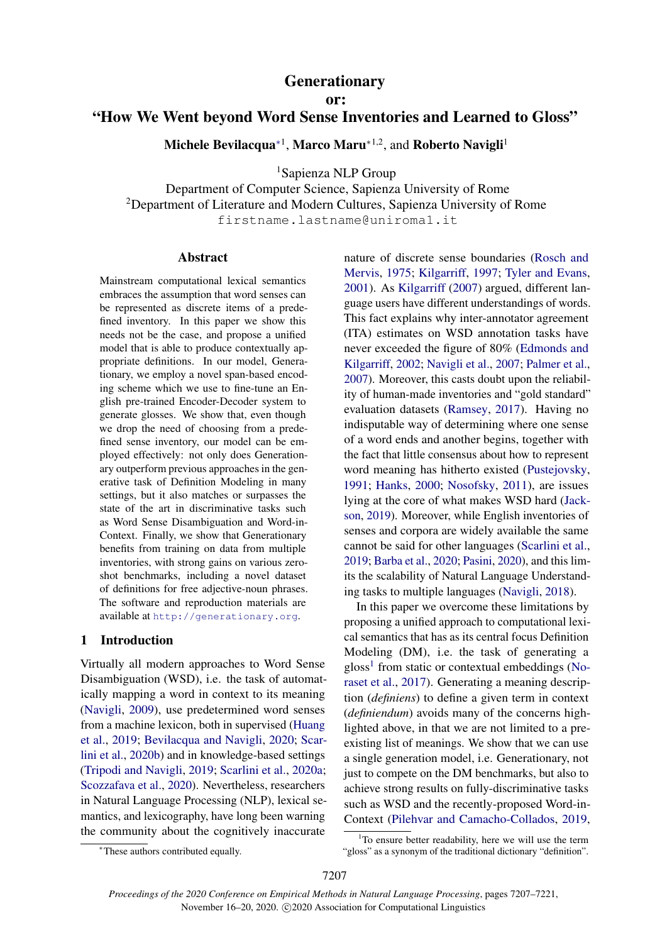## **Generationary**

or:

# "How We Went beyond Word Sense Inventories and Learned to Gloss"

Michele Bevilacqua\*<sup>1</sup>, Marco Maru\*<sup>1,2</sup>, and Roberto Navigli<sup>1</sup>

<sup>1</sup>Sapienza NLP Group

Department of Computer Science, Sapienza University of Rome <sup>2</sup>Department of Literature and Modern Cultures, Sapienza University of Rome firstname.lastname@uniroma1.it

#### Abstract

Mainstream computational lexical semantics embraces the assumption that word senses can be represented as discrete items of a predefined inventory. In this paper we show this needs not be the case, and propose a unified model that is able to produce contextually appropriate definitions. In our model, Generationary, we employ a novel span-based encoding scheme which we use to fine-tune an English pre-trained Encoder-Decoder system to generate glosses. We show that, even though we drop the need of choosing from a predefined sense inventory, our model can be employed effectively: not only does Generationary outperform previous approaches in the generative task of Definition Modeling in many settings, but it also matches or surpasses the state of the art in discriminative tasks such as Word Sense Disambiguation and Word-in-Context. Finally, we show that Generationary benefits from training on data from multiple inventories, with strong gains on various zeroshot benchmarks, including a novel dataset of definitions for free adjective-noun phrases. The software and reproduction materials are available at <http://generationary.org>.

#### 1 Introduction

Virtually all modern approaches to Word Sense Disambiguation (WSD), i.e. the task of automatically mapping a word in context to its meaning [\(Navigli,](#page-10-0) [2009\)](#page-10-0), use predetermined word senses from a machine lexicon, both in supervised [\(Huang](#page-9-0) [et al.,](#page-9-0) [2019;](#page-9-0) [Bevilacqua and Navigli,](#page-9-1) [2020;](#page-9-1) [Scar](#page-11-0)[lini et al.,](#page-11-0) [2020b\)](#page-11-0) and in knowledge-based settings [\(Tripodi and Navigli,](#page-11-1) [2019;](#page-11-1) [Scarlini et al.,](#page-11-2) [2020a;](#page-11-2) [Scozzafava et al.,](#page-11-3) [2020\)](#page-11-3). Nevertheless, researchers in Natural Language Processing (NLP), lexical semantics, and lexicography, have long been warning the community about the cognitively inaccurate

nature of discrete sense boundaries [\(Rosch and](#page-11-4) [Mervis,](#page-11-4) [1975;](#page-11-4) [Kilgarriff,](#page-9-2) [1997;](#page-9-2) [Tyler and Evans,](#page-11-5) [2001\)](#page-11-5). As [Kilgarriff](#page-9-3) [\(2007\)](#page-9-3) argued, different language users have different understandings of words. This fact explains why inter-annotator agreement (ITA) estimates on WSD annotation tasks have never exceeded the figure of 80% [\(Edmonds and](#page-9-4) [Kilgarriff,](#page-9-4) [2002;](#page-9-4) [Navigli et al.,](#page-10-1) [2007;](#page-10-1) [Palmer et al.,](#page-10-2) [2007\)](#page-10-2). Moreover, this casts doubt upon the reliability of human-made inventories and "gold standard" evaluation datasets [\(Ramsey,](#page-10-3) [2017\)](#page-10-3). Having no indisputable way of determining where one sense of a word ends and another begins, together with the fact that little consensus about how to represent word meaning has hitherto existed [\(Pustejovsky,](#page-10-4) [1991;](#page-10-4) [Hanks,](#page-9-5) [2000;](#page-9-5) [Nosofsky,](#page-10-5) [2011\)](#page-10-5), are issues lying at the core of what makes WSD hard [\(Jack](#page-9-6)[son,](#page-9-6) [2019\)](#page-9-6). Moreover, while English inventories of senses and corpora are widely available the same cannot be said for other languages [\(Scarlini et al.,](#page-11-6) [2019;](#page-11-6) [Barba et al.,](#page-9-7) [2020;](#page-9-7) [Pasini,](#page-10-6) [2020\)](#page-10-6), and this limits the scalability of Natural Language Understanding tasks to multiple languages [\(Navigli,](#page-10-7) [2018\)](#page-10-7).

In this paper we overcome these limitations by proposing a unified approach to computational lexical semantics that has as its central focus Definition Modeling (DM), i.e. the task of generating a gloss<sup>[1](#page-0-0)</sup> from static or contextual embeddings [\(No](#page-10-8)[raset et al.,](#page-10-8) [2017\)](#page-10-8). Generating a meaning description (*definiens*) to define a given term in context (*definiendum*) avoids many of the concerns highlighted above, in that we are not limited to a preexisting list of meanings. We show that we can use a single generation model, i.e. Generationary, not just to compete on the DM benchmarks, but also to achieve strong results on fully-discriminative tasks such as WSD and the recently-proposed Word-in-Context [\(Pilehvar and Camacho-Collados,](#page-10-9) [2019,](#page-10-9)

<sup>∗</sup>These authors contributed equally.

<span id="page-0-0"></span> $1$ <sup>1</sup>To ensure better readability, here we will use the term "gloss" as a synonym of the traditional dictionary "definition".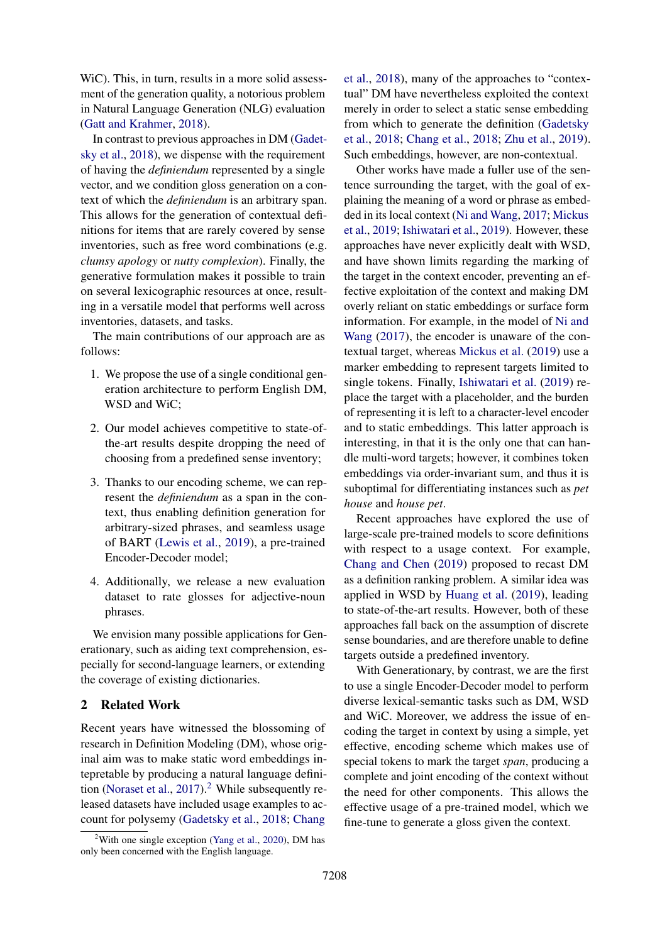WiC). This, in turn, results in a more solid assessment of the generation quality, a notorious problem in Natural Language Generation (NLG) evaluation [\(Gatt and Krahmer,](#page-9-8) [2018\)](#page-9-8).

In contrast to previous approaches in DM [\(Gadet](#page-9-9)[sky et al.,](#page-9-9) [2018\)](#page-9-9), we dispense with the requirement of having the *definiendum* represented by a single vector, and we condition gloss generation on a context of which the *definiendum* is an arbitrary span. This allows for the generation of contextual definitions for items that are rarely covered by sense inventories, such as free word combinations (e.g. *clumsy apology* or *nutty complexion*). Finally, the generative formulation makes it possible to train on several lexicographic resources at once, resulting in a versatile model that performs well across inventories, datasets, and tasks.

The main contributions of our approach are as follows:

- 1. We propose the use of a single conditional generation architecture to perform English DM, WSD and WiC;
- 2. Our model achieves competitive to state-ofthe-art results despite dropping the need of choosing from a predefined sense inventory;
- 3. Thanks to our encoding scheme, we can represent the *definiendum* as a span in the context, thus enabling definition generation for arbitrary-sized phrases, and seamless usage of BART [\(Lewis et al.,](#page-9-10) [2019\)](#page-9-10), a pre-trained Encoder-Decoder model;
- 4. Additionally, we release a new evaluation dataset to rate glosses for adjective-noun phrases.

We envision many possible applications for Generationary, such as aiding text comprehension, especially for second-language learners, or extending the coverage of existing dictionaries.

## 2 Related Work

Recent years have witnessed the blossoming of research in Definition Modeling (DM), whose original aim was to make static word embeddings intepretable by producing a natural language defini-tion [\(Noraset et al.,](#page-10-8) [2017\)](#page-10-8).<sup>[2](#page-1-0)</sup> While subsequently released datasets have included usage examples to account for polysemy [\(Gadetsky et al.,](#page-9-9) [2018;](#page-9-9) [Chang](#page-9-11) [et al.,](#page-9-11) [2018\)](#page-9-11), many of the approaches to "contextual" DM have nevertheless exploited the context merely in order to select a static sense embedding from which to generate the definition [\(Gadetsky](#page-9-9) [et al.,](#page-9-9) [2018;](#page-9-9) [Chang et al.,](#page-9-11) [2018;](#page-9-11) [Zhu et al.,](#page-11-8) [2019\)](#page-11-8). Such embeddings, however, are non-contextual.

Other works have made a fuller use of the sentence surrounding the target, with the goal of explaining the meaning of a word or phrase as embedded in its local context [\(Ni and Wang,](#page-10-10) [2017;](#page-10-10) [Mickus](#page-10-11) [et al.,](#page-10-11) [2019;](#page-10-11) [Ishiwatari et al.,](#page-9-12) [2019\)](#page-9-12). However, these approaches have never explicitly dealt with WSD, and have shown limits regarding the marking of the target in the context encoder, preventing an effective exploitation of the context and making DM overly reliant on static embeddings or surface form information. For example, in the model of [Ni and](#page-10-10) [Wang](#page-10-10) [\(2017\)](#page-10-10), the encoder is unaware of the contextual target, whereas [Mickus et al.](#page-10-11) [\(2019\)](#page-10-11) use a marker embedding to represent targets limited to single tokens. Finally, [Ishiwatari et al.](#page-9-12) [\(2019\)](#page-9-12) replace the target with a placeholder, and the burden of representing it is left to a character-level encoder and to static embeddings. This latter approach is interesting, in that it is the only one that can handle multi-word targets; however, it combines token embeddings via order-invariant sum, and thus it is suboptimal for differentiating instances such as *pet house* and *house pet*.

Recent approaches have explored the use of large-scale pre-trained models to score definitions with respect to a usage context. For example, [Chang and Chen](#page-9-13) [\(2019\)](#page-9-13) proposed to recast DM as a definition ranking problem. A similar idea was applied in WSD by [Huang et al.](#page-9-0) [\(2019\)](#page-9-0), leading to state-of-the-art results. However, both of these approaches fall back on the assumption of discrete sense boundaries, and are therefore unable to define targets outside a predefined inventory.

With Generationary, by contrast, we are the first to use a single Encoder-Decoder model to perform diverse lexical-semantic tasks such as DM, WSD and WiC. Moreover, we address the issue of encoding the target in context by using a simple, yet effective, encoding scheme which makes use of special tokens to mark the target *span*, producing a complete and joint encoding of the context without the need for other components. This allows the effective usage of a pre-trained model, which we fine-tune to generate a gloss given the context.

<span id="page-1-0"></span><sup>&</sup>lt;sup>2</sup>[With one single exception \(Yang et al.,](#page-9-11) [2020\)](#page-11-7), DM has [only been concerned with the English language.](#page-9-11)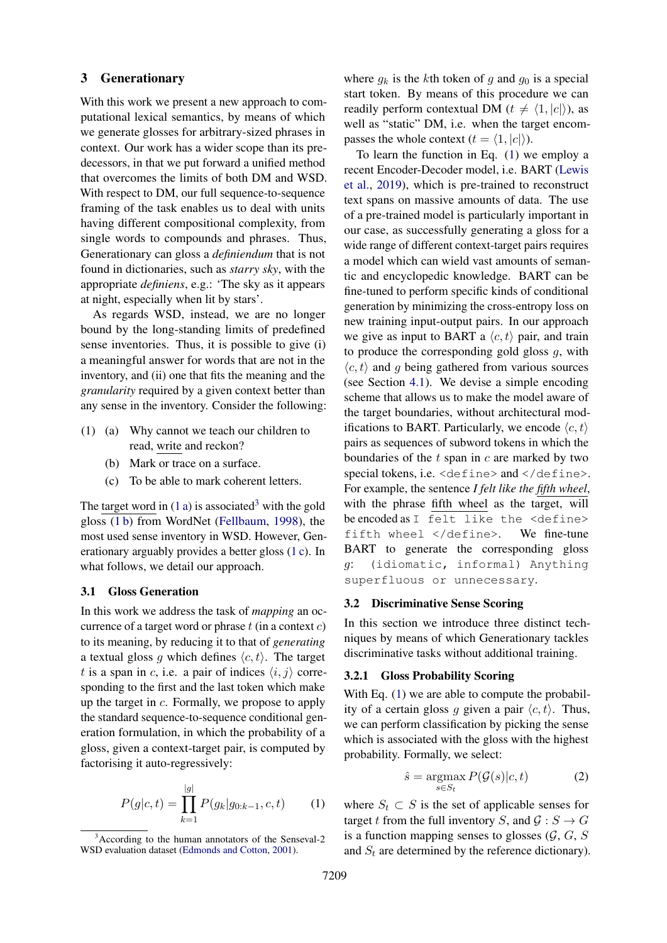## 3 Generationary

With this work we present a new approach to computational lexical semantics, by means of which we generate glosses for arbitrary-sized phrases in context. Our work has a wider scope than its predecessors, in that we put forward a unified method that overcomes the limits of both DM and WSD. With respect to DM, our full sequence-to-sequence framing of the task enables us to deal with units having different compositional complexity, from single words to compounds and phrases. Thus, Generationary can gloss a *definiendum* that is not found in dictionaries, such as *starry sky*, with the appropriate *definiens*, e.g.: 'The sky as it appears at night, especially when lit by stars'.

As regards WSD, instead, we are no longer bound by the long-standing limits of predefined sense inventories. Thus, it is possible to give (i) a meaningful answer for words that are not in the inventory, and (ii) one that fits the meaning and the *granularity* required by a given context better than any sense in the inventory. Consider the following:

- <span id="page-2-2"></span><span id="page-2-0"></span>(1) (a) Why cannot we teach our children to read, write and reckon?
	- (b) Mark or trace on a surface.
	- (c) To be able to mark coherent letters.

<span id="page-2-3"></span>The target word in  $(1 a)$  is associated<sup>[3](#page-2-1)</sup> with the gold gloss [\(1 b\)](#page-2-2) from WordNet [\(Fellbaum,](#page-9-14) [1998\)](#page-9-14), the most used sense inventory in WSD. However, Generationary arguably provides a better gloss [\(1 c\)](#page-2-3). In what follows, we detail our approach.

### 3.1 Gloss Generation

In this work we address the task of *mapping* an occurrence of a target word or phrase  $t$  (in a context  $c$ ) to its meaning, by reducing it to that of *generating* a textual gloss g which defines  $\langle c, t \rangle$ . The target t is a span in c, i.e. a pair of indices  $\langle i, j \rangle$  corresponding to the first and the last token which make up the target in c. Formally, we propose to apply the standard sequence-to-sequence conditional generation formulation, in which the probability of a gloss, given a context-target pair, is computed by factorising it auto-regressively:

$$
P(g|c,t) = \prod_{k=1}^{|g|} P(g_k|g_{0:k-1}, c, t)
$$
 (1)

where  $g_k$  is the kth token of g and  $g_0$  is a special start token. By means of this procedure we can readily perform contextual DM ( $t \neq \langle 1, |c|\rangle$ ), as well as "static" DM, i.e. when the target encompasses the whole context  $(t = \langle 1, |c| \rangle)$ .

To learn the function in Eq. [\(1\)](#page-2-4) we employ a recent Encoder-Decoder model, i.e. BART [\(Lewis](#page-9-10) [et al.,](#page-9-10) [2019\)](#page-9-10), which is pre-trained to reconstruct text spans on massive amounts of data. The use of a pre-trained model is particularly important in our case, as successfully generating a gloss for a wide range of different context-target pairs requires a model which can wield vast amounts of semantic and encyclopedic knowledge. BART can be fine-tuned to perform specific kinds of conditional generation by minimizing the cross-entropy loss on new training input-output pairs. In our approach we give as input to BART a  $\langle c, t \rangle$  pair, and train to produce the corresponding gold gloss  $q$ , with  $\langle c, t \rangle$  and g being gathered from various sources (see Section [4.1\)](#page-3-0). We devise a simple encoding scheme that allows us to make the model aware of the target boundaries, without architectural modifications to BART. Particularly, we encode  $\langle c, t \rangle$ pairs as sequences of subword tokens in which the boundaries of the  $t$  span in  $c$  are marked by two special tokens, i.e. <define> and </define>. For example, the sentence *I felt like the fifth wheel*, with the phrase fifth wheel as the target, will be encoded as I felt like the <define> fifth wheel </define>. We fine-tune BART to generate the corresponding gloss g: (idiomatic, informal) Anything superfluous or unnecessary.

#### <span id="page-2-5"></span>3.2 Discriminative Sense Scoring

In this section we introduce three distinct techniques by means of which Generationary tackles discriminative tasks without additional training.

#### 3.2.1 Gloss Probability Scoring

With Eq. [\(1\)](#page-2-4) we are able to compute the probability of a certain gloss g given a pair  $\langle c, t \rangle$ . Thus, we can perform classification by picking the sense which is associated with the gloss with the highest probability. Formally, we select:

$$
\hat{s} = \underset{s \in S_t}{\operatorname{argmax}} P(\mathcal{G}(s)|c, t) \tag{2}
$$

<span id="page-2-4"></span>where  $S_t \subset S$  is the set of applicable senses for target t from the full inventory S, and  $\mathcal{G}: S \to G$ is a function mapping senses to glosses  $(G, G, S)$ and  $S_t$  are determined by the reference dictionary).

<span id="page-2-1"></span><sup>&</sup>lt;sup>3</sup>According to the human annotators of the Senseval-2 WSD evaluation dataset [\(Edmonds and Cotton,](#page-9-15) [2001\)](#page-9-15).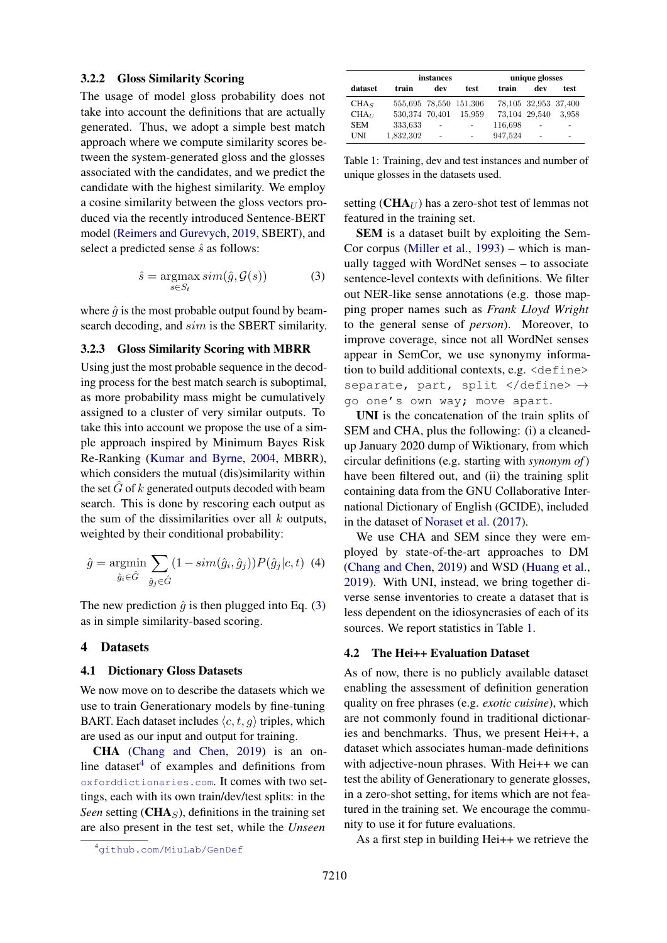## 3.2.2 Gloss Similarity Scoring

The usage of model gloss probability does not take into account the definitions that are actually generated. Thus, we adopt a simple best match approach where we compute similarity scores between the system-generated gloss and the glosses associated with the candidates, and we predict the candidate with the highest similarity. We employ a cosine similarity between the gloss vectors produced via the recently introduced Sentence-BERT model [\(Reimers and Gurevych,](#page-10-12) [2019,](#page-10-12) SBERT), and select a predicted sense  $\hat{s}$  as follows:

$$
\hat{s} = \underset{s \in S_t}{\operatorname{argmax}} \, sim(\hat{g}, \mathcal{G}(s)) \tag{3}
$$

where  $\hat{g}$  is the most probable output found by beamsearch decoding, and sim is the SBERT similarity.

#### <span id="page-3-4"></span>3.2.3 Gloss Similarity Scoring with MBRR

Using just the most probable sequence in the decoding process for the best match search is suboptimal, as more probability mass might be cumulatively assigned to a cluster of very similar outputs. To take this into account we propose the use of a simple approach inspired by Minimum Bayes Risk Re-Ranking [\(Kumar and Byrne,](#page-9-16) [2004,](#page-9-16) MBRR), which considers the mutual (dis)similarity within the set  $\hat{G}$  of k generated outputs decoded with beam search. This is done by rescoring each output as the sum of the dissimilarities over all  $k$  outputs, weighted by their conditional probability:

$$
\hat{g} = \underset{\hat{g}_i \in \hat{G}}{\operatorname{argmin}} \sum_{\hat{g}_j \in \hat{G}} (1 - sim(\hat{g}_i, \hat{g}_j)) P(\hat{g}_j | c, t) \tag{4}
$$

The new prediction  $\hat{q}$  is then plugged into Eq. [\(3\)](#page-3-1) as in simple similarity-based scoring.

## 4 Datasets

#### <span id="page-3-0"></span>4.1 Dictionary Gloss Datasets

We now move on to describe the datasets which we use to train Generationary models by fine-tuning BART. Each dataset includes  $\langle c, t, q \rangle$  triples, which are used as our input and output for training.

CHA [\(Chang and Chen,](#page-9-13) [2019\)](#page-9-13) is an on-line dataset<sup>[4](#page-3-2)</sup> of examples and definitions from [oxforddictionaries.com](http://oxforddictionaries.com). It comes with two settings, each with its own train/dev/test splits: in the *Seen* setting ( $\text{CHA}_S$ ), definitions in the training set are also present in the test set, while the *Unseen*

<span id="page-3-3"></span>

|                   |                | instances         |                          | unique glosses |                      |                          |  |
|-------------------|----------------|-------------------|--------------------------|----------------|----------------------|--------------------------|--|
| dataset           | train          | dev               | test                     | train          | dev                  | test                     |  |
| CHA <sub>S</sub>  |                |                   | 555,695 78,550 151,306   |                | 78,105 32,953 37,400 |                          |  |
| CHA <sub>II</sub> | 530,374 70,401 |                   | 15.959                   |                | 73,104 29,540        | 3.958                    |  |
| <b>SEM</b>        | 333,633        | $\qquad \qquad -$ | $\overline{\phantom{0}}$ | 116,698        | -                    | $\overline{\phantom{0}}$ |  |
| UNI               | 1,832,302      | $\overline{a}$    |                          | 947,524        |                      | -                        |  |

Table 1: Training, dev and test instances and number of unique glosses in the datasets used.

setting  $(CHA_{U})$  has a zero-shot test of lemmas not featured in the training set.

<span id="page-3-1"></span>SEM is a dataset built by exploiting the Sem-Cor corpus [\(Miller et al.,](#page-10-13) [1993\)](#page-10-13) – which is manually tagged with WordNet senses – to associate sentence-level contexts with definitions. We filter out NER-like sense annotations (e.g. those mapping proper names such as *Frank Lloyd Wright* to the general sense of *person*). Moreover, to improve coverage, since not all WordNet senses appear in SemCor, we use synonymy information to build additional contexts, e.g. <define> separate, part, split </define>  $\rightarrow$ go one's own way; move apart.

UNI is the concatenation of the train splits of SEM and CHA, plus the following: (i) a cleanedup January 2020 dump of Wiktionary, from which circular definitions (e.g. starting with *synonym of*) have been filtered out, and (ii) the training split containing data from the GNU Collaborative International Dictionary of English (GCIDE), included in the dataset of [Noraset et al.](#page-10-8) [\(2017\)](#page-10-8).

We use CHA and SEM since they were employed by state-of-the-art approaches to DM [\(Chang and Chen,](#page-9-13) [2019\)](#page-9-13) and WSD [\(Huang et al.,](#page-9-0) [2019\)](#page-9-0). With UNI, instead, we bring together diverse sense inventories to create a dataset that is less dependent on the idiosyncrasies of each of its sources. We report statistics in Table [1.](#page-3-3)

#### <span id="page-3-5"></span>4.2 The Hei++ Evaluation Dataset

As of now, there is no publicly available dataset enabling the assessment of definition generation quality on free phrases (e.g. *exotic cuisine*), which are not commonly found in traditional dictionaries and benchmarks. Thus, we present Hei++, a dataset which associates human-made definitions with adjective-noun phrases. With Hei++ we can test the ability of Generationary to generate glosses, in a zero-shot setting, for items which are not featured in the training set. We encourage the community to use it for future evaluations.

As a first step in building Hei++ we retrieve the

<span id="page-3-2"></span><sup>4</sup>[github.com/MiuLab/GenDef](http://github.com/MiuLab/GenDef)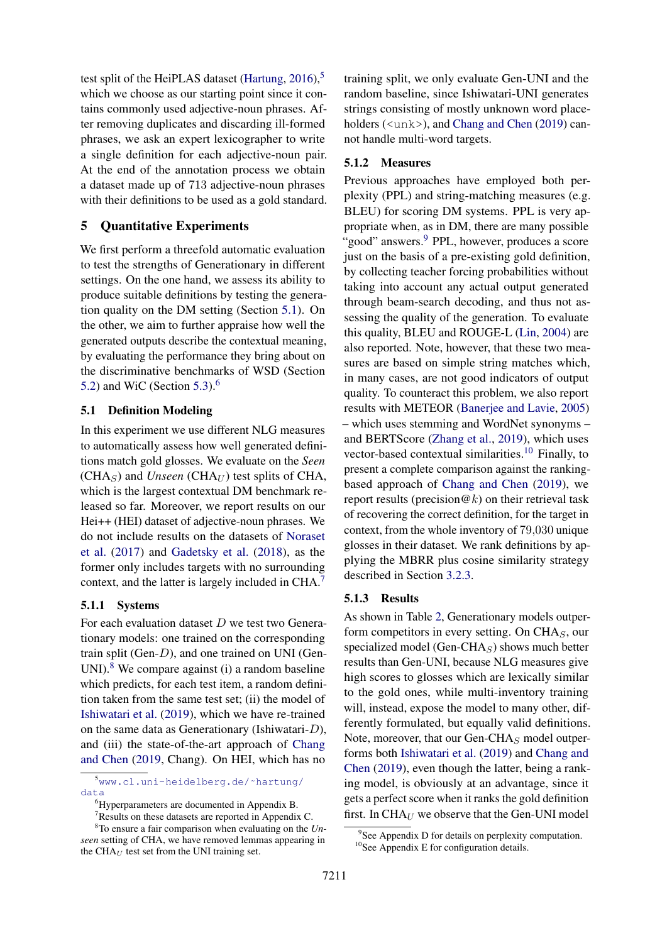test split of the HeiPLAS dataset [\(Hartung,](#page-9-17)  $2016$ ),<sup>[5](#page-4-0)</sup> which we choose as our starting point since it contains commonly used adjective-noun phrases. After removing duplicates and discarding ill-formed phrases, we ask an expert lexicographer to write a single definition for each adjective-noun pair. At the end of the annotation process we obtain a dataset made up of 713 adjective-noun phrases with their definitions to be used as a gold standard.

## <span id="page-4-7"></span>5 Quantitative Experiments

We first perform a threefold automatic evaluation to test the strengths of Generationary in different settings. On the one hand, we assess its ability to produce suitable definitions by testing the generation quality on the DM setting (Section [5.1\)](#page-4-1). On the other, we aim to further appraise how well the generated outputs describe the contextual meaning, by evaluating the performance they bring about on the discriminative benchmarks of WSD (Section [5.2\)](#page-5-0) and WiC (Section [5.3\)](#page-6-0). $<sup>6</sup>$  $<sup>6</sup>$  $<sup>6</sup>$ </sup>

### <span id="page-4-1"></span>5.1 Definition Modeling

In this experiment we use different NLG measures to automatically assess how well generated definitions match gold glosses. We evaluate on the *Seen*  $(CHA<sub>S</sub>)$  and *Unseen*  $(CHA<sub>U</sub>)$  test splits of CHA, which is the largest contextual DM benchmark released so far. Moreover, we report results on our Hei++ (HEI) dataset of adjective-noun phrases. We do not include results on the datasets of [Noraset](#page-10-8) [et al.](#page-10-8) [\(2017\)](#page-10-8) and [Gadetsky et al.](#page-9-9) [\(2018\)](#page-9-9), as the former only includes targets with no surrounding context, and the latter is largely included in CHA.[7](#page-4-3)

## 5.1.1 Systems

For each evaluation dataset  $D$  we test two Generationary models: one trained on the corresponding train split (Gen-D), and one trained on UNI (Gen-UNI). $8$  We compare against (i) a random baseline which predicts, for each test item, a random definition taken from the same test set; (ii) the model of [Ishiwatari et al.](#page-9-12) [\(2019\)](#page-9-12), which we have re-trained on the same data as Generationary (Ishiwatari-D), and (iii) the state-of-the-art approach of [Chang](#page-9-13) [and Chen](#page-9-13) [\(2019,](#page-9-13) Chang). On HEI, which has no

<span id="page-4-0"></span><sup>5</sup>[www.cl.uni-heidelberg.de/˜hartung/](http://www.cl.uni-heidelberg.de/~hartung/data) [data](http://www.cl.uni-heidelberg.de/~hartung/data)

<span id="page-4-4"></span><span id="page-4-3"></span><sup>7</sup>Results on these datasets are reported in Appendix C.

training split, we only evaluate Gen-UNI and the random baseline, since Ishiwatari-UNI generates strings consisting of mostly unknown word place-holders (<unk>), and [Chang and Chen](#page-9-13) [\(2019\)](#page-9-13) cannot handle multi-word targets.

## 5.1.2 Measures

Previous approaches have employed both perplexity (PPL) and string-matching measures (e.g. BLEU) for scoring DM systems. PPL is very appropriate when, as in DM, there are many possible "good" answers.<sup>[9](#page-4-5)</sup> PPL, however, produces a score just on the basis of a pre-existing gold definition, by collecting teacher forcing probabilities without taking into account any actual output generated through beam-search decoding, and thus not assessing the quality of the generation. To evaluate this quality, BLEU and ROUGE-L [\(Lin,](#page-9-18) [2004\)](#page-9-18) are also reported. Note, however, that these two measures are based on simple string matches which, in many cases, are not good indicators of output quality. To counteract this problem, we also report results with METEOR [\(Banerjee and Lavie,](#page-9-19) [2005\)](#page-9-19) – which uses stemming and WordNet synonyms – and BERTScore [\(Zhang et al.,](#page-11-9) [2019\)](#page-11-9), which uses vector-based contextual similarities.<sup>[10](#page-4-6)</sup> Finally, to present a complete comparison against the rankingbased approach of [Chang and Chen](#page-9-13) [\(2019\)](#page-9-13), we report results (precision  $@k$ ) on their retrieval task of recovering the correct definition, for the target in context, from the whole inventory of 79,030 unique glosses in their dataset. We rank definitions by applying the MBRR plus cosine similarity strategy described in Section [3.2.3.](#page-3-4)

#### 5.1.3 Results

As shown in Table [2,](#page-5-1) Generationary models outperform competitors in every setting. On  $CHA<sub>S</sub>$ , our specialized model (Gen-CHA $<sub>S</sub>$ ) shows much better</sub> results than Gen-UNI, because NLG measures give high scores to glosses which are lexically similar to the gold ones, while multi-inventory training will, instead, expose the model to many other, differently formulated, but equally valid definitions. Note, moreover, that our Gen-CHA $<sub>S</sub>$  model outper-</sub> forms both [Ishiwatari et al.](#page-9-12) [\(2019\)](#page-9-12) and [Chang and](#page-9-13) [Chen](#page-9-13) [\(2019\)](#page-9-13), even though the latter, being a ranking model, is obviously at an advantage, since it gets a perfect score when it ranks the gold definition first. In  $CHA_U$  we observe that the Gen-UNI model

<span id="page-4-2"></span><sup>6</sup>Hyperparameters are documented in Appendix B.

<sup>8</sup>To ensure a fair comparison when evaluating on the *Unseen* setting of CHA, we have removed lemmas appearing in the CH $A_U$  test set from the UNI training set.

<span id="page-4-6"></span><span id="page-4-5"></span><sup>&</sup>lt;sup>9</sup> See Appendix D for details on perplexity computation. <sup>10</sup>See Appendix E for configuration details.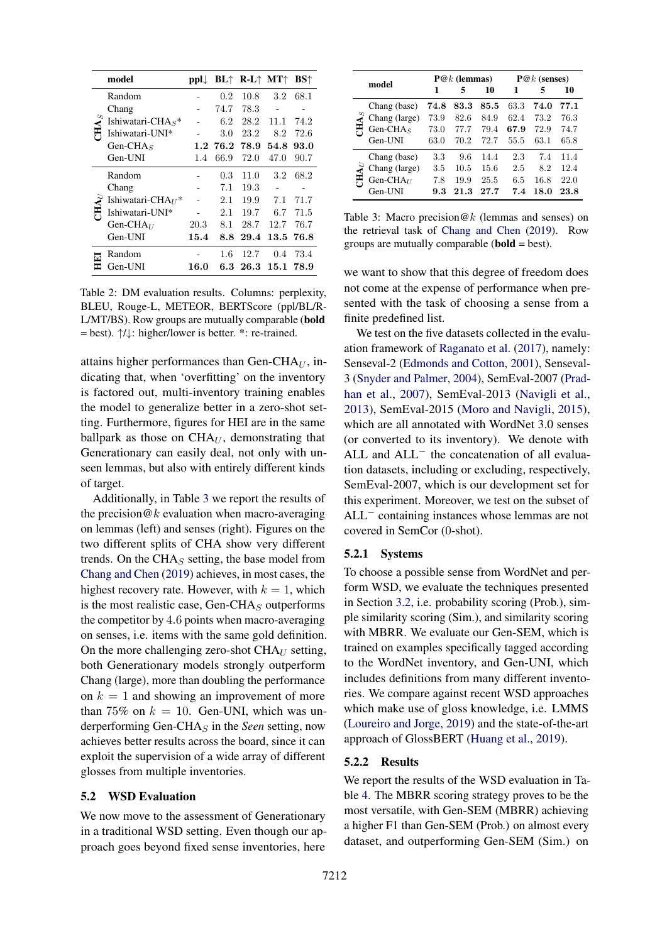<span id="page-5-1"></span>

|  | model                   |      |         | $pplL$ BL $\uparrow$ R-L $\uparrow$ MT $\uparrow$ |           | <b>BS</b> <sup><math>\uparrow</math></sup> |
|--|-------------------------|------|---------|---------------------------------------------------|-----------|--------------------------------------------|
|  | Random                  |      | 0.2     | 10.8                                              | 3.2       | 68.1                                       |
|  | Chang                   |      | 74.7    | 78.3                                              |           |                                            |
|  | Ishiwatari-CHA $S^*$    |      | 6.2     | 28.2                                              | 11.1      | 74.2                                       |
|  | Ishiwatari-UNI*         |      | 3.0     | 23.2                                              | 8.2       | 72.6                                       |
|  | Gen-CHA $_S$            |      | 1.276.2 | 78.9                                              | 54.8      | 93.0                                       |
|  | Gen-UNI                 | 1.4  | 66.9    | 72.0                                              | 47.0      | 90.7                                       |
|  | Random                  |      | 0.3     | 11.0                                              | $3.2\,$   | 68.2                                       |
|  | Chang                   |      | 7.1     | 19.3                                              |           |                                            |
|  | Ishiwatari-CHA $_{U}$ * |      | 2.1     | 19.9                                              | 7.1       | 71.7                                       |
|  | Ishiwatari-UNI*         |      | 2.1     | 19.7                                              | 6.7       | 71.5                                       |
|  | Gen-CH $A_{II}$         | 20.3 | 8.1     | 28.7                                              | 12.7      | 76.7                                       |
|  | Gen-UNI                 | 15.4 | 8.8     | 29.4                                              | 13.5 76.8 |                                            |
|  | Random                  |      | $1.6\,$ | 12.7                                              | 0.4       | 73.4                                       |
|  | Gen-UNI                 | 16.0 | 6.3     | 26.3                                              | 15.1 78.9 |                                            |

Table 2: DM evaluation results. Columns: perplexity, BLEU, Rouge-L, METEOR, BERTScore (ppl/BL/R-L/MT/BS). Row groups are mutually comparable (bold = best). ↑/↓: higher/lower is better. \*: re-trained.

attains higher performances than Gen-CH $A_U$ , indicating that, when 'overfitting' on the inventory is factored out, multi-inventory training enables the model to generalize better in a zero-shot setting. Furthermore, figures for HEI are in the same ballpark as those on  $CHA<sub>U</sub>$ , demonstrating that Generationary can easily deal, not only with unseen lemmas, but also with entirely different kinds of target.

Additionally, in Table [3](#page-5-2) we report the results of the precision  $@k$  evaluation when macro-averaging on lemmas (left) and senses (right). Figures on the two different splits of CHA show very different trends. On the CHA $<sub>S</sub>$  setting, the base model from</sub> [Chang and Chen](#page-9-13) [\(2019\)](#page-9-13) achieves, in most cases, the highest recovery rate. However, with  $k = 1$ , which is the most realistic case, Gen-CHA $<sub>S</sub>$  outperforms</sub> the competitor by 4.6 points when macro-averaging on senses, i.e. items with the same gold definition. On the more challenging zero-shot  $CHA<sub>U</sub>$  setting, both Generationary models strongly outperform Chang (large), more than doubling the performance on  $k = 1$  and showing an improvement of more than 75% on  $k = 10$ . Gen-UNI, which was underperforming Gen-CHA<sup>S</sup> in the *Seen* setting, now achieves better results across the board, since it can exploit the supervision of a wide array of different glosses from multiple inventories.

## <span id="page-5-0"></span>5.2 WSD Evaluation

We now move to the assessment of Generationary in a traditional WSD setting. Even though our approach goes beyond fixed sense inventories, here

<span id="page-5-2"></span>

|                            |                |      | $P@k$ (lemmas) |      | $P@k$ (senses) |      |      |  |
|----------------------------|----------------|------|----------------|------|----------------|------|------|--|
|                            | model          |      | 5              | 10   |                | 5    | 10   |  |
|                            | Chang (base)   | 74.8 | 83.3           | 85.5 | 63.3           | 74.0 | 77.1 |  |
| <b>AH</b>                  | Chang (large)  | 73.9 | 82.6           | 84.9 | 62.4           | 73.2 | 76.3 |  |
|                            | Gen-CHA $_S$   | 73.0 | 77.7           | 79.4 | 67.9           | 72.9 | 74.7 |  |
|                            | Gen-UNI        | 63.0 | 70.2           | 72.7 | 55.5           | 63.1 | 65.8 |  |
| $\mathbf{H}\mathbf{A}_{D}$ | Chang (base)   | 3.3  | 9.6            | 14.4 | 2.3            | 7.4  | 11.4 |  |
|                            | Chang (large)  | 3.5  | 10.5           | 15.6 | 2.5            | 8.2  | 12.4 |  |
|                            | Gen-CH $A_{U}$ | 7.8  | 19.9           | 25.5 | 6.5            | 16.8 | 22.0 |  |
|                            | Gen-UNI        | 9.3  | 21.3           | 27.7 | 7.4            | 18.0 | 23.8 |  |

Table 3: Macro precision  $@k$  (lemmas and senses) on the retrieval task of [Chang and Chen](#page-9-13) [\(2019\)](#page-9-13). Row groups are mutually comparable (bold = best).

we want to show that this degree of freedom does not come at the expense of performance when presented with the task of choosing a sense from a finite predefined list.

We test on the five datasets collected in the evaluation framework of [Raganato et al.](#page-10-14) [\(2017\)](#page-10-14), namely: Senseval-2 [\(Edmonds and Cotton,](#page-9-15) [2001\)](#page-9-15), Senseval-3 [\(Snyder and Palmer,](#page-11-10) [2004\)](#page-11-10), SemEval-2007 [\(Prad](#page-10-15)[han et al.,](#page-10-15) [2007\)](#page-10-15), SemEval-2013 [\(Navigli et al.,](#page-10-16) [2013\)](#page-10-16), SemEval-2015 [\(Moro and Navigli,](#page-10-17) [2015\)](#page-10-17), which are all annotated with WordNet 3.0 senses (or converted to its inventory). We denote with ALL and ALL<sup>−</sup> the concatenation of all evaluation datasets, including or excluding, respectively, SemEval-2007, which is our development set for this experiment. Moreover, we test on the subset of ALL<sup>−</sup> containing instances whose lemmas are not covered in SemCor (0-shot).

#### 5.2.1 Systems

To choose a possible sense from WordNet and perform WSD, we evaluate the techniques presented in Section [3.2,](#page-2-5) i.e. probability scoring (Prob.), simple similarity scoring (Sim.), and similarity scoring with MBRR. We evaluate our Gen-SEM, which is trained on examples specifically tagged according to the WordNet inventory, and Gen-UNI, which includes definitions from many different inventories. We compare against recent WSD approaches which make use of gloss knowledge, i.e. LMMS [\(Loureiro and Jorge,](#page-10-18) [2019\)](#page-10-18) and the state-of-the-art approach of GlossBERT [\(Huang et al.,](#page-9-0) [2019\)](#page-9-0).

#### 5.2.2 Results

We report the results of the WSD evaluation in Table [4.](#page-6-1) The MBRR scoring strategy proves to be the most versatile, with Gen-SEM (MBRR) achieving a higher F1 than Gen-SEM (Prob.) on almost every dataset, and outperforming Gen-SEM (Sim.) on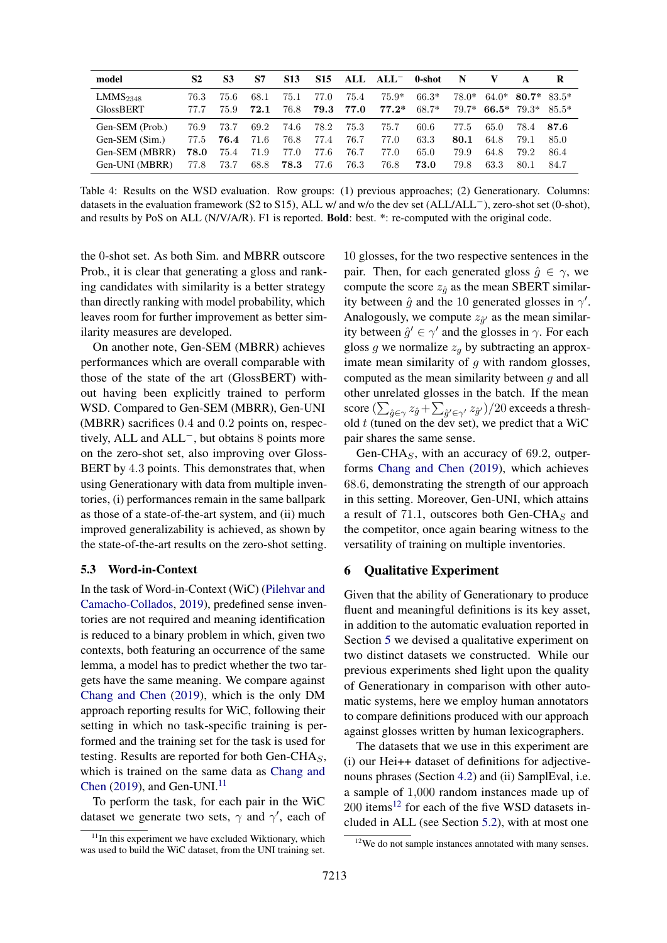<span id="page-6-1"></span>

| model                | S2   | S3   | S7   | <b>S13</b> | <b>S15</b> |      | ALL $ALL^-$ | 0-shot  | N     |               |         | R       |
|----------------------|------|------|------|------------|------------|------|-------------|---------|-------|---------------|---------|---------|
| LMMS <sub>2348</sub> | 76.3 | 75.6 | 68.1 | 75.1       | 77.0       | 75.4 | $75.9*$     | $66.3*$ | 78.0* | 64.0*         | $80.7*$ | $83.5*$ |
| <b>GlossBERT</b>     | 77.7 | 75.9 | 72.1 | 76.8       | 79.3       | 77.0 | $77.2*$     | $68.7*$ | 79.7* | 66.5* $79.3*$ |         | $85.5*$ |
| Gen-SEM (Prob.)      | 76.9 | 73.7 | 69.2 | 74.6       | 78.2       | 75.3 | 75.7        | 60.6    | 77.5  | 65.0          | 78.4    | 87.6    |
| Gen-SEM (Sim.)       | 77.5 | 76.4 | 71.6 | 76.8       | 77.4       | 76.7 | 77.0        | 63.3    | 80.1  | 64.8          | 79.1    | 85.0    |
| Gen-SEM (MBRR)       | 78.0 | 75.4 | 71.9 | 77.0       | 77.6       | 76.7 | 77.0        | 65.0    | 79.9  | 64.8          | 79.2    | 86.4    |
| Gen-UNI (MBRR)       | 77.8 | 73.7 | 68.8 | 78.3       | 77.6       | 76.3 | 76.8        | 73.0    | 79.8  | 63.3          | 80.1    | 84.7    |

Table 4: Results on the WSD evaluation. Row groups: (1) previous approaches; (2) Generationary. Columns: datasets in the evaluation framework (S2 to S15), ALL w/ and w/o the dev set (ALL/ALL−), zero-shot set (0-shot), and results by PoS on ALL (N/V/A/R). F1 is reported. Bold: best. \*: re-computed with the original code.

the 0-shot set. As both Sim. and MBRR outscore Prob., it is clear that generating a gloss and ranking candidates with similarity is a better strategy than directly ranking with model probability, which leaves room for further improvement as better similarity measures are developed.

On another note, Gen-SEM (MBRR) achieves performances which are overall comparable with those of the state of the art (GlossBERT) without having been explicitly trained to perform WSD. Compared to Gen-SEM (MBRR), Gen-UNI (MBRR) sacrifices 0.4 and 0.2 points on, respectively, ALL and ALL−, but obtains 8 points more on the zero-shot set, also improving over Gloss-BERT by 4.3 points. This demonstrates that, when using Generationary with data from multiple inventories, (i) performances remain in the same ballpark as those of a state-of-the-art system, and (ii) much improved generalizability is achieved, as shown by the state-of-the-art results on the zero-shot setting.

### <span id="page-6-0"></span>5.3 Word-in-Context

In the task of Word-in-Context (WiC) [\(Pilehvar and](#page-10-9) [Camacho-Collados,](#page-10-9) [2019\)](#page-10-9), predefined sense inventories are not required and meaning identification is reduced to a binary problem in which, given two contexts, both featuring an occurrence of the same lemma, a model has to predict whether the two targets have the same meaning. We compare against [Chang and Chen](#page-9-13) [\(2019\)](#page-9-13), which is the only DM approach reporting results for WiC, following their setting in which no task-specific training is performed and the training set for the task is used for testing. Results are reported for both Gen-CHA $<sub>S</sub>$ ,</sub> which is trained on the same data as [Chang and](#page-9-13) [Chen](#page-9-13)  $(2019)$ , and Gen-UNI.<sup>[11](#page-6-2)</sup>

To perform the task, for each pair in the WiC dataset we generate two sets,  $\gamma$  and  $\gamma'$ , each of

10 glosses, for the two respective sentences in the pair. Then, for each generated gloss  $\hat{g} \in \gamma$ , we compute the score  $z_{\hat{a}}$  as the mean SBERT similarity between  $\hat{g}$  and the 10 generated glosses in  $\gamma'$ . Analogously, we compute  $z_{\hat{g}'}$  as the mean similarity between  $\hat{g}' \in \gamma'$  and the glosses in  $\gamma$ . For each gloss g we normalize  $z_q$  by subtracting an approximate mean similarity of  $q$  with random glosses, computed as the mean similarity between  $q$  and all other unrelated glosses in the batch. If the mean score  $(\sum_{\hat{g}\in\gamma}z_{\hat{g}}+\sum_{\hat{g}'\in\gamma'}z_{\hat{g}'})/20$  exceeds a threshold  $t$  (tuned on the dev set), we predict that a WiC pair shares the same sense.

Gen-CHA $<sub>S</sub>$ , with an accuracy of 69.2, outper-</sub> forms [Chang and Chen](#page-9-13) [\(2019\)](#page-9-13), which achieves 68.6, demonstrating the strength of our approach in this setting. Moreover, Gen-UNI, which attains a result of 71.1, outscores both Gen-CHA $<sub>S</sub>$  and</sub> the competitor, once again bearing witness to the versatility of training on multiple inventories.

## 6 Qualitative Experiment

Given that the ability of Generationary to produce fluent and meaningful definitions is its key asset, in addition to the automatic evaluation reported in Section [5](#page-4-7) we devised a qualitative experiment on two distinct datasets we constructed. While our previous experiments shed light upon the quality of Generationary in comparison with other automatic systems, here we employ human annotators to compare definitions produced with our approach against glosses written by human lexicographers.

The datasets that we use in this experiment are (i) our Hei++ dataset of definitions for adjectivenouns phrases (Section [4.2\)](#page-3-5) and (ii) SamplEval, i.e. a sample of 1,000 random instances made up of  $200$  items<sup>[12](#page-6-3)</sup> for each of the five WSD datasets included in ALL (see Section [5.2\)](#page-5-0), with at most one

<span id="page-6-2"></span> $11$ In this experiment we have excluded Wiktionary, which was used to build the WiC dataset, from the UNI training set.

<span id="page-6-3"></span><sup>&</sup>lt;sup>12</sup>We do not sample instances annotated with many senses.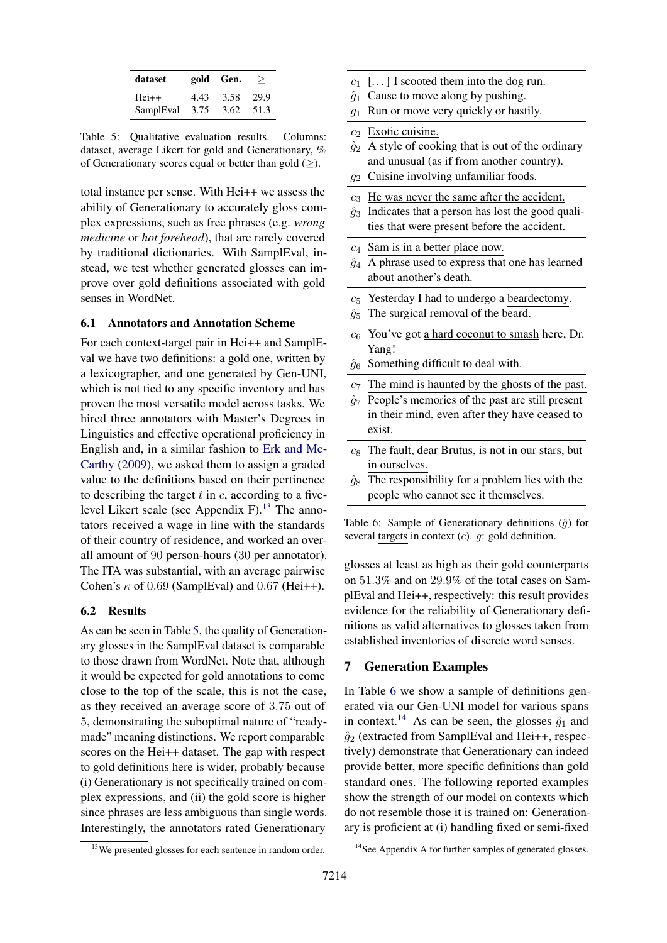<span id="page-7-1"></span>

| dataset   |      | gold Gen. | >    |
|-----------|------|-----------|------|
| $Hei++$   | 4.43 | 3.58      | 29.9 |
| SamplEval | 3.75 | 3.62      | 51.3 |

Table 5: Qualitative evaluation results. Columns: dataset, average Likert for gold and Generationary, % of Generationary scores equal or better than gold  $(\geq)$ .

total instance per sense. With Hei++ we assess the ability of Generationary to accurately gloss complex expressions, such as free phrases (e.g. *wrong medicine* or *hot forehead*), that are rarely covered by traditional dictionaries. With SamplEval, instead, we test whether generated glosses can improve over gold definitions associated with gold senses in WordNet.

## <span id="page-7-4"></span>6.1 Annotators and Annotation Scheme

For each context-target pair in Hei++ and SamplEval we have two definitions: a gold one, written by a lexicographer, and one generated by Gen-UNI, which is not tied to any specific inventory and has proven the most versatile model across tasks. We hired three annotators with Master's Degrees in Linguistics and effective operational proficiency in English and, in a similar fashion to [Erk and Mc-](#page-9-20)[Carthy](#page-9-20) [\(2009\)](#page-9-20), we asked them to assign a graded value to the definitions based on their pertinence to describing the target  $t$  in  $c$ , according to a five-level Likert scale (see Appendix F).<sup>[13](#page-7-0)</sup> The annotators received a wage in line with the standards of their country of residence, and worked an overall amount of 90 person-hours (30 per annotator). The ITA was substantial, with an average pairwise Cohen's  $\kappa$  of 0.69 (SamplEval) and 0.67 (Hei++).

#### 6.2 Results

As can be seen in Table [5,](#page-7-1) the quality of Generationary glosses in the SamplEval dataset is comparable to those drawn from WordNet. Note that, although it would be expected for gold annotations to come close to the top of the scale, this is not the case, as they received an average score of 3.75 out of 5, demonstrating the suboptimal nature of "readymade" meaning distinctions. We report comparable scores on the Hei++ dataset. The gap with respect to gold definitions here is wider, probably because (i) Generationary is not specifically trained on complex expressions, and (ii) the gold score is higher since phrases are less ambiguous than single words. Interestingly, the annotators rated Generationary

- <span id="page-7-2"></span> $c_1$  [...] I scooted them into the dog run.
- $\hat{g}_1$  Cause to move along by pushing.
- $g_1$  Run or move very quickly or hastily.
- $c_2$  Exotic cuisine.
- $\hat{g}_2$  A style of cooking that is out of the ordinary and unusual (as if from another country).
- $g_2$  Cuisine involving unfamiliar foods.
- $c_3$  He was never the same after the accident.
- $\hat{g}_3$  Indicates that a person has lost the good qualities that were present before the accident.
- $c_4$  Sam is in a better place now.
- $\hat{g}_4$  A phrase used to express that one has learned about another's death.
- $c_5$  Yesterday I had to undergo a beardectomy.
- $\hat{g}_5$  The surgical removal of the beard.
- $c_6$  You've got a hard coconut to smash here, Dr. Yang!
- $\hat{g}_6$  Something difficult to deal with.
- $c_7$  The mind is haunted by the ghosts of the past.
- $\hat{q}_7$  People's memories of the past are still present in their mind, even after they have ceased to exist.
- $c_8$  The fault, dear Brutus, is not in our stars, but in ourselves.
- $\hat{g}_8$  The responsibility for a problem lies with the people who cannot see it themselves.

Table 6: Sample of Generationary definitions  $(\hat{q})$  for several targets in context  $(c)$ .  $g$ : gold definition.

glosses at least as high as their gold counterparts on 51.3% and on 29.9% of the total cases on SamplEval and Hei++, respectively: this result provides evidence for the reliability of Generationary definitions as valid alternatives to glosses taken from established inventories of discrete word senses.

## 7 Generation Examples

In Table [6](#page-7-2) we show a sample of definitions generated via our Gen-UNI model for various spans in context.<sup>[14](#page-7-3)</sup> As can be seen, the glosses  $\hat{g}_1$  and  $\hat{g}_2$  (extracted from SamplEval and Hei++, respectively) demonstrate that Generationary can indeed provide better, more specific definitions than gold standard ones. The following reported examples show the strength of our model on contexts which do not resemble those it is trained on: Generationary is proficient at (i) handling fixed or semi-fixed

<span id="page-7-0"></span><sup>&</sup>lt;sup>13</sup>We presented glosses for each sentence in random order.

<span id="page-7-3"></span><sup>&</sup>lt;sup>14</sup>See Appendix A for further samples of generated glosses.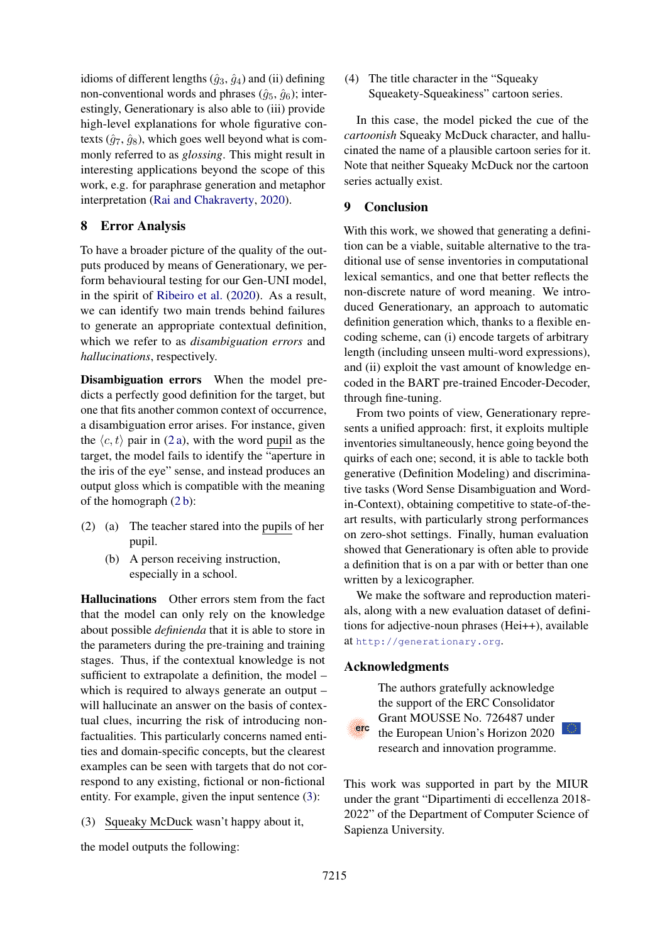idioms of different lengths  $(\hat{g}_3, \hat{g}_4)$  and (ii) defining non-conventional words and phrases  $(\hat{g}_5, \hat{g}_6)$ ; interestingly, Generationary is also able to (iii) provide high-level explanations for whole figurative contexts  $(\hat{g}_7, \hat{g}_8)$ , which goes well beyond what is commonly referred to as *glossing*. This might result in interesting applications beyond the scope of this work, e.g. for paraphrase generation and metaphor interpretation [\(Rai and Chakraverty,](#page-10-19) [2020\)](#page-10-19).

## 8 Error Analysis

To have a broader picture of the quality of the outputs produced by means of Generationary, we perform behavioural testing for our Gen-UNI model, in the spirit of [Ribeiro et al.](#page-10-20) [\(2020\)](#page-10-20). As a result, we can identify two main trends behind failures to generate an appropriate contextual definition, which we refer to as *disambiguation errors* and *hallucinations*, respectively.

Disambiguation errors When the model predicts a perfectly good definition for the target, but one that fits another common context of occurrence, a disambiguation error arises. For instance, given the  $\langle c, t \rangle$  pair in [\(2 a\)](#page-8-0), with the word pupil as the target, the model fails to identify the "aperture in the iris of the eye" sense, and instead produces an output gloss which is compatible with the meaning of the homograph [\(2 b\)](#page-8-1):

- <span id="page-8-1"></span><span id="page-8-0"></span>(2) (a) The teacher stared into the pupils of her pupil.
	- (b) A person receiving instruction, especially in a school.

Hallucinations Other errors stem from the fact that the model can only rely on the knowledge about possible *definienda* that it is able to store in the parameters during the pre-training and training stages. Thus, if the contextual knowledge is not sufficient to extrapolate a definition, the model – which is required to always generate an output – will hallucinate an answer on the basis of contextual clues, incurring the risk of introducing nonfactualities. This particularly concerns named entities and domain-specific concepts, but the clearest examples can be seen with targets that do not correspond to any existing, fictional or non-fictional entity. For example, given the input sentence [\(3\)](#page-8-2):

<span id="page-8-2"></span>(3) Squeaky McDuck wasn't happy about it,

the model outputs the following:

(4) The title character in the "Squeaky Squeakety-Squeakiness" cartoon series.

In this case, the model picked the cue of the *cartoonish* Squeaky McDuck character, and hallucinated the name of a plausible cartoon series for it. Note that neither Squeaky McDuck nor the cartoon series actually exist.

## 9 Conclusion

With this work, we showed that generating a definition can be a viable, suitable alternative to the traditional use of sense inventories in computational lexical semantics, and one that better reflects the non-discrete nature of word meaning. We introduced Generationary, an approach to automatic definition generation which, thanks to a flexible encoding scheme, can (i) encode targets of arbitrary length (including unseen multi-word expressions), and (ii) exploit the vast amount of knowledge encoded in the BART pre-trained Encoder-Decoder, through fine-tuning.

From two points of view, Generationary represents a unified approach: first, it exploits multiple inventories simultaneously, hence going beyond the quirks of each one; second, it is able to tackle both generative (Definition Modeling) and discriminative tasks (Word Sense Disambiguation and Wordin-Context), obtaining competitive to state-of-theart results, with particularly strong performances on zero-shot settings. Finally, human evaluation showed that Generationary is often able to provide a definition that is on a par with or better than one written by a lexicographer.

We make the software and reproduction materials, along with a new evaluation dataset of definitions for adjective-noun phrases (Hei++), available at <http://generationary.org>.

## Acknowledgments



The authors gratefully acknowledge the support of the ERC Consolidator Grant MOUSSE No. 726487 under the European Union's Horizon 2020 research and innovation programme.

This work was supported in part by the MIUR under the grant "Dipartimenti di eccellenza 2018- 2022" of the Department of Computer Science of Sapienza University.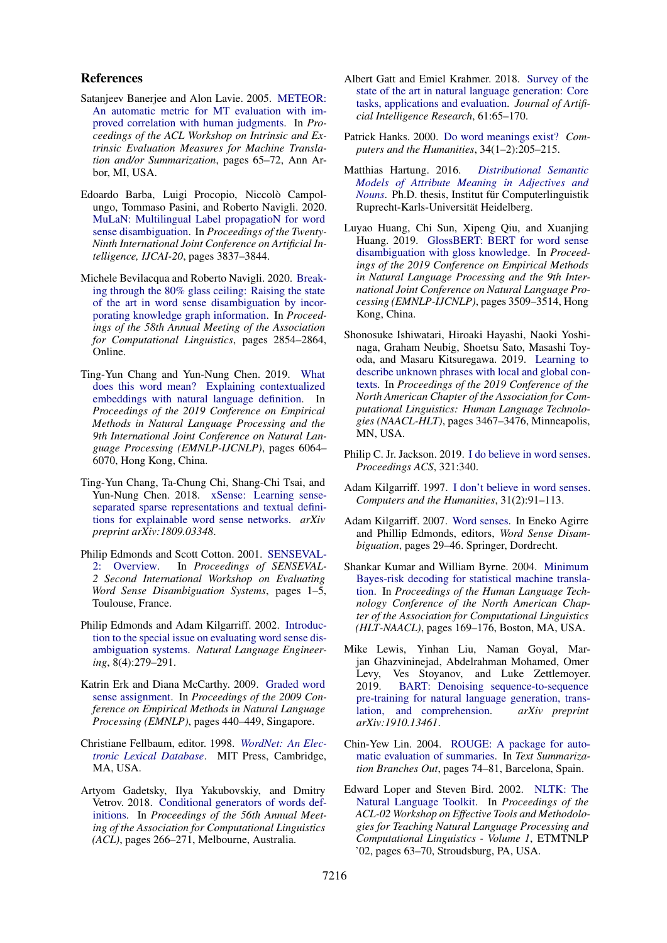### References

- <span id="page-9-19"></span>Satanjeev Banerjee and Alon Lavie. 2005. [METEOR:](https://www.aclweb.org/anthology/W05-0909) [An automatic metric for MT evaluation with im](https://www.aclweb.org/anthology/W05-0909)[proved correlation with human judgments.](https://www.aclweb.org/anthology/W05-0909) In *Proceedings of the ACL Workshop on Intrinsic and Extrinsic Evaluation Measures for Machine Translation and/or Summarization*, pages 65–72, Ann Arbor, MI, USA.
- <span id="page-9-7"></span>Edoardo Barba, Luigi Procopio, Niccolò Campolungo, Tommaso Pasini, and Roberto Navigli. 2020. [MuLaN: Multilingual Label propagatioN for word](https://doi.org/10.24963/ijcai.2020/531) [sense disambiguation.](https://doi.org/10.24963/ijcai.2020/531) In *Proceedings of the Twenty-Ninth International Joint Conference on Artificial Intelligence, IJCAI-20*, pages 3837–3844.
- <span id="page-9-1"></span>Michele Bevilacqua and Roberto Navigli. 2020. [Break](https://doi.org/10.18653/v1/2020.acl-main.255)[ing through the 80% glass ceiling: Raising the state](https://doi.org/10.18653/v1/2020.acl-main.255) [of the art in word sense disambiguation by incor](https://doi.org/10.18653/v1/2020.acl-main.255)[porating knowledge graph information.](https://doi.org/10.18653/v1/2020.acl-main.255) In *Proceedings of the 58th Annual Meeting of the Association for Computational Linguistics*, pages 2854–2864, Online.
- <span id="page-9-13"></span>Ting-Yun Chang and Yun-Nung Chen. 2019. [What](https://doi.org/10.18653/v1/D19-1627) [does this word mean? Explaining contextualized](https://doi.org/10.18653/v1/D19-1627) [embeddings with natural language definition.](https://doi.org/10.18653/v1/D19-1627) In *Proceedings of the 2019 Conference on Empirical Methods in Natural Language Processing and the 9th International Joint Conference on Natural Language Processing (EMNLP-IJCNLP)*, pages 6064– 6070, Hong Kong, China.
- <span id="page-9-11"></span>Ting-Yun Chang, Ta-Chung Chi, Shang-Chi Tsai, and Yun-Nung Chen. 2018. [xSense: Learning sense](https://arxiv.org/abs/1809.03348)[separated sparse representations and textual defini](https://arxiv.org/abs/1809.03348)[tions for explainable word sense networks.](https://arxiv.org/abs/1809.03348) *arXiv preprint arXiv:1809.03348*.
- <span id="page-9-15"></span>Philip Edmonds and Scott Cotton. 2001. [SENSEVAL-](https://www.aclweb.org/anthology/S01-1001)[2: Overview.](https://www.aclweb.org/anthology/S01-1001) In *Proceedings of SENSEVAL-2 Second International Workshop on Evaluating Word Sense Disambiguation Systems*, pages 1–5, Toulouse, France.
- <span id="page-9-4"></span>Philip Edmonds and Adam Kilgarriff. 2002. [Introduc](https://www.cambridge.org/core/journals/natural-language-engineering/article/introduction-to-the-special-issue-on-evaluating-word-sense-disambiguation-systems/C224DC1AB1F2864684500F26ACB725F3)[tion to the special issue on evaluating word sense dis](https://www.cambridge.org/core/journals/natural-language-engineering/article/introduction-to-the-special-issue-on-evaluating-word-sense-disambiguation-systems/C224DC1AB1F2864684500F26ACB725F3)[ambiguation systems.](https://www.cambridge.org/core/journals/natural-language-engineering/article/introduction-to-the-special-issue-on-evaluating-word-sense-disambiguation-systems/C224DC1AB1F2864684500F26ACB725F3) *Natural Language Engineering*, 8(4):279–291.
- <span id="page-9-20"></span>Katrin Erk and Diana McCarthy. 2009. [Graded word](https://www.aclweb.org/anthology/D09-1046) [sense assignment.](https://www.aclweb.org/anthology/D09-1046) In *Proceedings of the 2009 Conference on Empirical Methods in Natural Language Processing (EMNLP)*, pages 440–449, Singapore.
- <span id="page-9-14"></span>Christiane Fellbaum, editor. 1998. *[WordNet: An Elec](https://doi.org/10.1017/S0142716401221079)[tronic Lexical Database](https://doi.org/10.1017/S0142716401221079)*. MIT Press, Cambridge, MA, USA.
- <span id="page-9-9"></span>Artyom Gadetsky, Ilya Yakubovskiy, and Dmitry Vetrov. 2018. [Conditional generators of words def](https://doi.org/10.18653/v1/P18-2043)[initions.](https://doi.org/10.18653/v1/P18-2043) In *Proceedings of the 56th Annual Meeting of the Association for Computational Linguistics (ACL)*, pages 266–271, Melbourne, Australia.
- <span id="page-9-8"></span>Albert Gatt and Emiel Krahmer. 2018. [Survey of the](https://doi.org/https://doi.org/10.1613/jair.5477) [state of the art in natural language generation: Core](https://doi.org/https://doi.org/10.1613/jair.5477) [tasks, applications and evaluation.](https://doi.org/https://doi.org/10.1613/jair.5477) *Journal of Artificial Intelligence Research*, 61:65–170.
- <span id="page-9-5"></span>Patrick Hanks. 2000. [Do word meanings exist?](https://www.jstor.org/stable/30204810?seq=1) *Computers and the Humanities*, 34(1–2):205–215.
- <span id="page-9-17"></span>Matthias Hartung. 2016. *[Distributional Semantic](https://archiv.ub.uni-heidelberg.de/volltextserver/20013/) [Models of Attribute Meaning in Adjectives and](https://archiv.ub.uni-heidelberg.de/volltextserver/20013/) [Nouns](https://archiv.ub.uni-heidelberg.de/volltextserver/20013/)*. Ph.D. thesis. Institut für Computerlinguistik Ruprecht-Karls-Universität Heidelberg.
- <span id="page-9-0"></span>Luyao Huang, Chi Sun, Xipeng Qiu, and Xuanjing Huang. 2019. [GlossBERT: BERT for word sense](https://doi.org/10.18653/v1/D19-1355) [disambiguation with gloss knowledge.](https://doi.org/10.18653/v1/D19-1355) In *Proceedings of the 2019 Conference on Empirical Methods in Natural Language Processing and the 9th International Joint Conference on Natural Language Processing (EMNLP-IJCNLP)*, pages 3509–3514, Hong Kong, China.
- <span id="page-9-12"></span>Shonosuke Ishiwatari, Hiroaki Hayashi, Naoki Yoshinaga, Graham Neubig, Shoetsu Sato, Masashi Toyoda, and Masaru Kitsuregawa. 2019. [Learning to](https://doi.org/10.18653/v1/N19-1350) [describe unknown phrases with local and global con](https://doi.org/10.18653/v1/N19-1350)[texts.](https://doi.org/10.18653/v1/N19-1350) In *Proceedings of the 2019 Conference of the North American Chapter of the Association for Computational Linguistics: Human Language Technologies (NAACL-HLT)*, pages 3467–3476, Minneapolis, MN, USA.
- <span id="page-9-6"></span>Philip C. Jr. Jackson. 2019. [I do believe in word senses.](http://www.talamind.prohosting.com/JacksonIDoBelieveInWordSenses2019ACS.pdf) *Proceedings ACS*, 321:340.
- <span id="page-9-2"></span>Adam Kilgarriff. 1997. [I don't believe in word senses.](https://link.springer.com/article/10.1023/A:1000583911091) *Computers and the Humanities*, 31(2):91–113.
- <span id="page-9-3"></span>Adam Kilgarriff. 2007. [Word senses.](https://link.springer.com/chapter/10.1007/978-1-4020-4809-8_2) In Eneko Agirre and Phillip Edmonds, editors, *Word Sense Disambiguation*, pages 29–46. Springer, Dordrecht.
- <span id="page-9-16"></span>Shankar Kumar and William Byrne. 2004. [Minimum](https://www.aclweb.org/anthology/N04-1022) [Bayes-risk decoding for statistical machine transla](https://www.aclweb.org/anthology/N04-1022)[tion.](https://www.aclweb.org/anthology/N04-1022) In *Proceedings of the Human Language Technology Conference of the North American Chapter of the Association for Computational Linguistics (HLT-NAACL)*, pages 169–176, Boston, MA, USA.
- <span id="page-9-10"></span>Mike Lewis, Yinhan Liu, Naman Goyal, Marjan Ghazvininejad, Abdelrahman Mohamed, Omer Levy, Ves Stoyanov, and Luke Zettlemoyer. 2019. [BART: Denoising sequence-to-sequence](https://arxiv.org/abs/1910.13461) [pre-training for natural language generation, trans](https://arxiv.org/abs/1910.13461)[lation, and comprehension.](https://arxiv.org/abs/1910.13461) *arXiv preprint arXiv:1910.13461*.
- <span id="page-9-18"></span>Chin-Yew Lin. 2004. [ROUGE: A package for auto](https://www.aclweb.org/anthology/W04-1013)[matic evaluation of summaries.](https://www.aclweb.org/anthology/W04-1013) In *Text Summarization Branches Out*, pages 74–81, Barcelona, Spain.
- <span id="page-9-21"></span>Edward Loper and Steven Bird. 2002. [NLTK: The](https://doi.org/10.3115/1118108.1118117) [Natural Language Toolkit.](https://doi.org/10.3115/1118108.1118117) In *Proceedings of the ACL-02 Workshop on Effective Tools and Methodologies for Teaching Natural Language Processing and Computational Linguistics - Volume 1*, ETMTNLP '02, pages 63–70, Stroudsburg, PA, USA.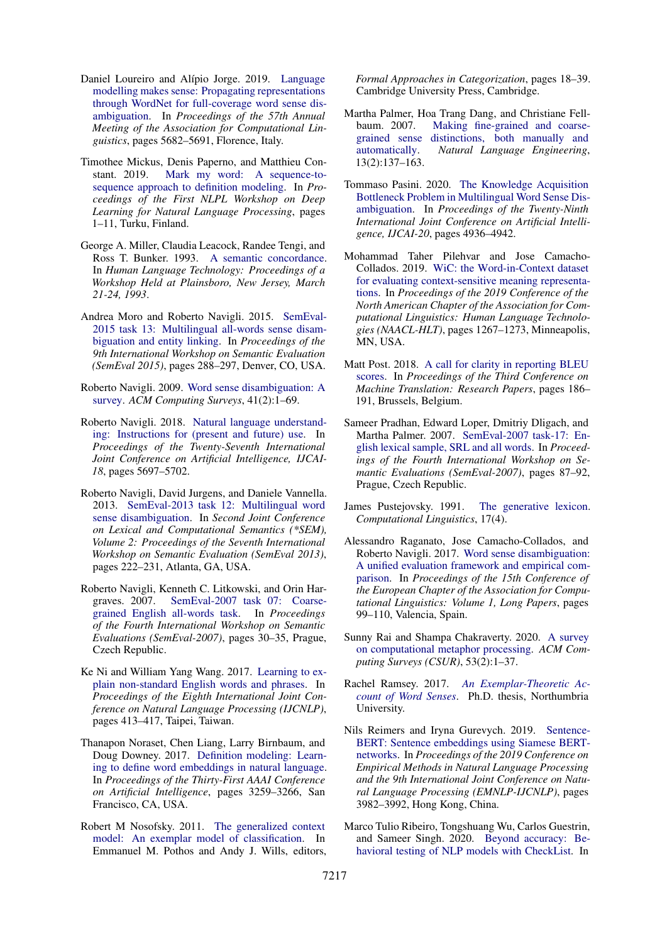- <span id="page-10-18"></span>Daniel Loureiro and Alípio Jorge. 2019. [Language](https://doi.org/10.18653/v1/P19-1569) [modelling makes sense: Propagating representations](https://doi.org/10.18653/v1/P19-1569) [through WordNet for full-coverage word sense dis](https://doi.org/10.18653/v1/P19-1569)[ambiguation.](https://doi.org/10.18653/v1/P19-1569) In *Proceedings of the 57th Annual Meeting of the Association for Computational Linguistics*, pages 5682–5691, Florence, Italy.
- <span id="page-10-11"></span>Timothee Mickus, Denis Paperno, and Matthieu Constant. 2019. [Mark my word: A sequence-to](https://www.aclweb.org/anthology/W19-6201)[sequence approach to definition modeling.](https://www.aclweb.org/anthology/W19-6201) In *Proceedings of the First NLPL Workshop on Deep Learning for Natural Language Processing*, pages 1–11, Turku, Finland.
- <span id="page-10-13"></span>George A. Miller, Claudia Leacock, Randee Tengi, and Ross T. Bunker. 1993. [A semantic concordance.](https://www.aclweb.org/anthology/H93-1061) In *Human Language Technology: Proceedings of a Workshop Held at Plainsboro, New Jersey, March 21-24, 1993*.
- <span id="page-10-17"></span>Andrea Moro and Roberto Navigli. 2015. [SemEval-](https://doi.org/10.18653/v1/S15-2049)[2015 task 13: Multilingual all-words sense disam](https://doi.org/10.18653/v1/S15-2049)[biguation and entity linking.](https://doi.org/10.18653/v1/S15-2049) In *Proceedings of the 9th International Workshop on Semantic Evaluation (SemEval 2015)*, pages 288–297, Denver, CO, USA.
- <span id="page-10-0"></span>Roberto Navigli. 2009. [Word sense disambiguation: A](https://dl.acm.org/doi/10.1145/1459352.1459355) [survey.](https://dl.acm.org/doi/10.1145/1459352.1459355) *ACM Computing Surveys*, 41(2):1–69.
- <span id="page-10-7"></span>Roberto Navigli. 2018. [Natural language understand](https://doi.org/10.24963/ijcai.2018/812)[ing: Instructions for \(present and future\) use.](https://doi.org/10.24963/ijcai.2018/812) In *Proceedings of the Twenty-Seventh International Joint Conference on Artificial Intelligence, IJCAI-18*, pages 5697–5702.
- <span id="page-10-16"></span>Roberto Navigli, David Jurgens, and Daniele Vannella. 2013. [SemEval-2013 task 12: Multilingual word](https://www.aclweb.org/anthology/S13-2040) [sense disambiguation.](https://www.aclweb.org/anthology/S13-2040) In *Second Joint Conference on Lexical and Computational Semantics (\*SEM), Volume 2: Proceedings of the Seventh International Workshop on Semantic Evaluation (SemEval 2013)*, pages 222–231, Atlanta, GA, USA.
- <span id="page-10-1"></span>Roberto Navigli, Kenneth C. Litkowski, and Orin Hargraves. 2007. [SemEval-2007 task 07: Coarse](https://www.aclweb.org/anthology/S07-1006)[grained English all-words task.](https://www.aclweb.org/anthology/S07-1006) In *Proceedings of the Fourth International Workshop on Semantic Evaluations (SemEval-2007)*, pages 30–35, Prague, Czech Republic.
- <span id="page-10-10"></span>Ke Ni and William Yang Wang. 2017. [Learning to ex](https://www.aclweb.org/anthology/I17-2070)[plain non-standard English words and phrases.](https://www.aclweb.org/anthology/I17-2070) In *Proceedings of the Eighth International Joint Conference on Natural Language Processing (IJCNLP)*, pages 413–417, Taipei, Taiwan.
- <span id="page-10-8"></span>Thanapon Noraset, Chen Liang, Larry Birnbaum, and Doug Downey. 2017. [Definition modeling: Learn](https://www.aaai.org/ocs/index.php/AAAI/AAAI17/paper/viewPaper/14827)[ing to define word embeddings in natural language.](https://www.aaai.org/ocs/index.php/AAAI/AAAI17/paper/viewPaper/14827) In *Proceedings of the Thirty-First AAAI Conference on Artificial Intelligence*, pages 3259–3266, San Francisco, CA, USA.
- <span id="page-10-5"></span>Robert M Nosofsky. 2011. [The generalized context](https://www.cambridge.org/core/books/formal-approaches-in-categorization/generalized-context-model-an-exemplar-model-of-classification/8CD2BD0EC0C7F601C005FA457CFB2523) [model: An exemplar model of classification.](https://www.cambridge.org/core/books/formal-approaches-in-categorization/generalized-context-model-an-exemplar-model-of-classification/8CD2BD0EC0C7F601C005FA457CFB2523) In Emmanuel M. Pothos and Andy J. Wills, editors,

*Formal Approaches in Categorization*, pages 18–39. Cambridge University Press, Cambridge.

- <span id="page-10-2"></span>Martha Palmer, Hoa Trang Dang, and Christiane Fellbaum. 2007. [Making fine-grained and coarse](https://www.cambridge.org/core/journals/natural-language-engineering/article/making-finegrained-and-coarsegrained-sense-distinctions-both-manually-and-automatically/07B0797208E3847AAF734F67BEEB9E72)[grained sense distinctions, both manually and](https://www.cambridge.org/core/journals/natural-language-engineering/article/making-finegrained-and-coarsegrained-sense-distinctions-both-manually-and-automatically/07B0797208E3847AAF734F67BEEB9E72) [automatically.](https://www.cambridge.org/core/journals/natural-language-engineering/article/making-finegrained-and-coarsegrained-sense-distinctions-both-manually-and-automatically/07B0797208E3847AAF734F67BEEB9E72) *Natural Language Engineering*, 13(2):137–163.
- <span id="page-10-6"></span>Tommaso Pasini. 2020. [The Knowledge Acquisition](https://doi.org/10.24963/ijcai.2020/687) [Bottleneck Problem in Multilingual Word Sense Dis](https://doi.org/10.24963/ijcai.2020/687)[ambiguation.](https://doi.org/10.24963/ijcai.2020/687) In *Proceedings of the Twenty-Ninth International Joint Conference on Artificial Intelligence, IJCAI-20*, pages 4936–4942.
- <span id="page-10-9"></span>Mohammad Taher Pilehvar and Jose Camacho-Collados. 2019. [WiC: the Word-in-Context dataset](https://doi.org/10.18653/v1/N19-1128) [for evaluating context-sensitive meaning representa](https://doi.org/10.18653/v1/N19-1128)[tions.](https://doi.org/10.18653/v1/N19-1128) In *Proceedings of the 2019 Conference of the North American Chapter of the Association for Computational Linguistics: Human Language Technologies (NAACL-HLT)*, pages 1267–1273, Minneapolis, MN, USA.
- <span id="page-10-21"></span>Matt Post. 2018. [A call for clarity in reporting BLEU](https://doi.org/10.18653/v1/W18-6319) [scores.](https://doi.org/10.18653/v1/W18-6319) In *Proceedings of the Third Conference on Machine Translation: Research Papers*, pages 186– 191, Brussels, Belgium.
- <span id="page-10-15"></span>Sameer Pradhan, Edward Loper, Dmitriy Dligach, and Martha Palmer. 2007. [SemEval-2007 task-17: En](https://www.aclweb.org/anthology/S07-1016)[glish lexical sample, SRL and all words.](https://www.aclweb.org/anthology/S07-1016) In *Proceedings of the Fourth International Workshop on Semantic Evaluations (SemEval-2007)*, pages 87–92, Prague, Czech Republic.
- <span id="page-10-4"></span>James Pustejovsky. 1991. [The generative lexicon.](https://dl.acm.org/doi/10.5555/176321.176324) *Computational Linguistics*, 17(4).
- <span id="page-10-14"></span>Alessandro Raganato, Jose Camacho-Collados, and Roberto Navigli. 2017. [Word sense disambiguation:](https://www.aclweb.org/anthology/E17-1010) [A unified evaluation framework and empirical com](https://www.aclweb.org/anthology/E17-1010)[parison.](https://www.aclweb.org/anthology/E17-1010) In *Proceedings of the 15th Conference of the European Chapter of the Association for Computational Linguistics: Volume 1, Long Papers*, pages 99–110, Valencia, Spain.
- <span id="page-10-19"></span>Sunny Rai and Shampa Chakraverty. 2020. [A survey](https://dl.acm.org/doi/abs/10.1145/3373265) [on computational metaphor processing.](https://dl.acm.org/doi/abs/10.1145/3373265) *ACM Computing Surveys (CSUR)*, 53(2):1–37.
- <span id="page-10-3"></span>Rachel Ramsey. 2017. *[An Exemplar-Theoretic Ac](http://nrl.northumbria.ac.uk/id/eprint/35586/)[count of Word Senses](http://nrl.northumbria.ac.uk/id/eprint/35586/)*. Ph.D. thesis, Northumbria University.
- <span id="page-10-12"></span>Nils Reimers and Iryna Gurevych. 2019. [Sentence-](https://doi.org/10.18653/v1/D19-1410)[BERT: Sentence embeddings using Siamese BERT](https://doi.org/10.18653/v1/D19-1410)[networks.](https://doi.org/10.18653/v1/D19-1410) In *Proceedings of the 2019 Conference on Empirical Methods in Natural Language Processing and the 9th International Joint Conference on Natural Language Processing (EMNLP-IJCNLP)*, pages 3982–3992, Hong Kong, China.
- <span id="page-10-20"></span>Marco Tulio Ribeiro, Tongshuang Wu, Carlos Guestrin, and Sameer Singh. 2020. [Beyond accuracy: Be](https://doi.org/10.18653/v1/2020.acl-main.442)[havioral testing of NLP models with CheckList.](https://doi.org/10.18653/v1/2020.acl-main.442) In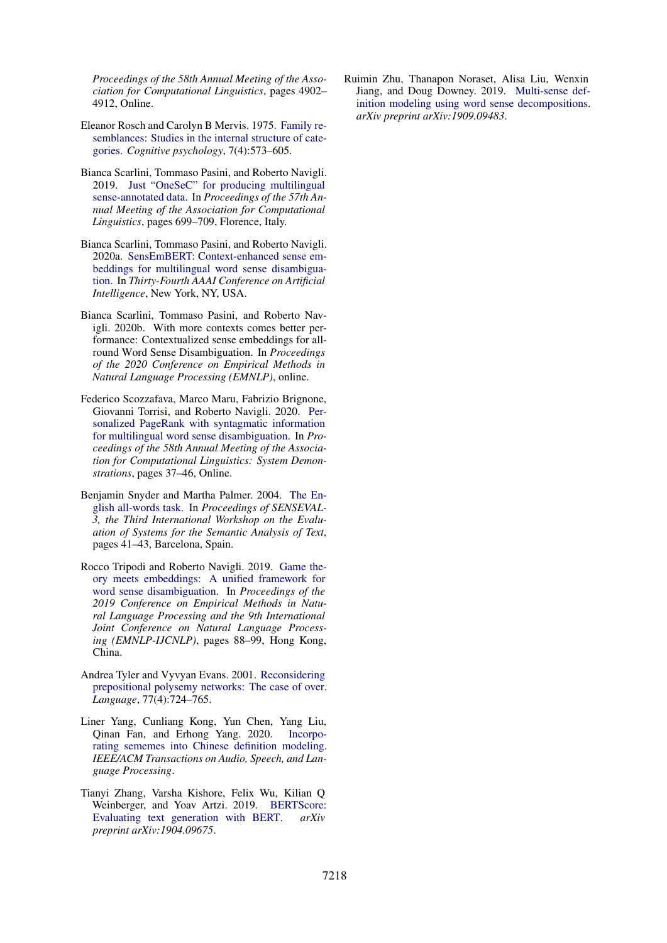*Proceedings of the 58th Annual Meeting of the Association for Computational Linguistics*, pages 4902– 4912, Online.

- <span id="page-11-4"></span>Eleanor Rosch and Carolyn B Mervis. 1975. [Family re](https://www.sciencedirect.com/science/article/abs/pii/0010028575900249)[semblances: Studies in the internal structure of cate](https://www.sciencedirect.com/science/article/abs/pii/0010028575900249)[gories.](https://www.sciencedirect.com/science/article/abs/pii/0010028575900249) *Cognitive psychology*, 7(4):573–605.
- <span id="page-11-6"></span>Bianca Scarlini, Tommaso Pasini, and Roberto Navigli. 2019. [Just "OneSeC" for producing multilingual](https://doi.org/10.18653/v1/P19-1069) [sense-annotated data.](https://doi.org/10.18653/v1/P19-1069) In *Proceedings of the 57th Annual Meeting of the Association for Computational Linguistics*, pages 699–709, Florence, Italy.
- <span id="page-11-2"></span>Bianca Scarlini, Tommaso Pasini, and Roberto Navigli. 2020a. [SensEmBERT: Context-enhanced sense em](http://wwwusers.di.uniroma1.it/~navigli/pubs/AAAI_2020_Scarlinietal.pdf)[beddings for multilingual word sense disambigua](http://wwwusers.di.uniroma1.it/~navigli/pubs/AAAI_2020_Scarlinietal.pdf)[tion.](http://wwwusers.di.uniroma1.it/~navigli/pubs/AAAI_2020_Scarlinietal.pdf) In *Thirty-Fourth AAAI Conference on Artificial Intelligence*, New York, NY, USA.
- <span id="page-11-0"></span>Bianca Scarlini, Tommaso Pasini, and Roberto Navigli. 2020b. With more contexts comes better performance: Contextualized sense embeddings for allround Word Sense Disambiguation. In *Proceedings of the 2020 Conference on Empirical Methods in Natural Language Processing (EMNLP)*, online.
- <span id="page-11-3"></span>Federico Scozzafava, Marco Maru, Fabrizio Brignone, Giovanni Torrisi, and Roberto Navigli. 2020. [Per](https://doi.org/10.18653/v1/2020.acl-demos.6)[sonalized PageRank with syntagmatic information](https://doi.org/10.18653/v1/2020.acl-demos.6) [for multilingual word sense disambiguation.](https://doi.org/10.18653/v1/2020.acl-demos.6) In *Proceedings of the 58th Annual Meeting of the Association for Computational Linguistics: System Demonstrations*, pages 37–46, Online.
- <span id="page-11-10"></span>Benjamin Snyder and Martha Palmer. 2004. [The En](https://www.aclweb.org/anthology/W04-0811)[glish all-words task.](https://www.aclweb.org/anthology/W04-0811) In *Proceedings of SENSEVAL-3, the Third International Workshop on the Evaluation of Systems for the Semantic Analysis of Text*, pages 41–43, Barcelona, Spain.
- <span id="page-11-1"></span>Rocco Tripodi and Roberto Navigli. 2019. [Game the](https://doi.org/10.18653/v1/D19-1009)[ory meets embeddings: A unified framework for](https://doi.org/10.18653/v1/D19-1009) [word sense disambiguation.](https://doi.org/10.18653/v1/D19-1009) In *Proceedings of the 2019 Conference on Empirical Methods in Natural Language Processing and the 9th International Joint Conference on Natural Language Processing (EMNLP-IJCNLP)*, pages 88–99, Hong Kong, China.
- <span id="page-11-5"></span>Andrea Tyler and Vyvyan Evans. 2001. [Reconsidering](https://www.jstor.org/stable/3086846?seq=1) [prepositional polysemy networks: The case of over.](https://www.jstor.org/stable/3086846?seq=1) *Language*, 77(4):724–765.
- <span id="page-11-7"></span>Liner Yang, Cunliang Kong, Yun Chen, Yang Liu, Qinan Fan, and Erhong Yang. 2020. [Incorpo](https://doi.org/10.1109/TASLP.2020.2987754)[rating sememes into Chinese definition modeling.](https://doi.org/10.1109/TASLP.2020.2987754) *IEEE/ACM Transactions on Audio, Speech, and Language Processing*.
- <span id="page-11-9"></span>Tianyi Zhang, Varsha Kishore, Felix Wu, Kilian Q Weinberger, and Yoav Artzi. 2019. [BERTScore:](https://arxiv.org/abs/1904.09675) [Evaluating text generation with BERT.](https://arxiv.org/abs/1904.09675) *arXiv preprint arXiv:1904.09675*.

<span id="page-11-8"></span>Ruimin Zhu, Thanapon Noraset, Alisa Liu, Wenxin Jiang, and Doug Downey. 2019. [Multi-sense def](https://arxiv.org/abs/1909.09483)[inition modeling using word sense decompositions.](https://arxiv.org/abs/1909.09483) *arXiv preprint arXiv:1909.09483*.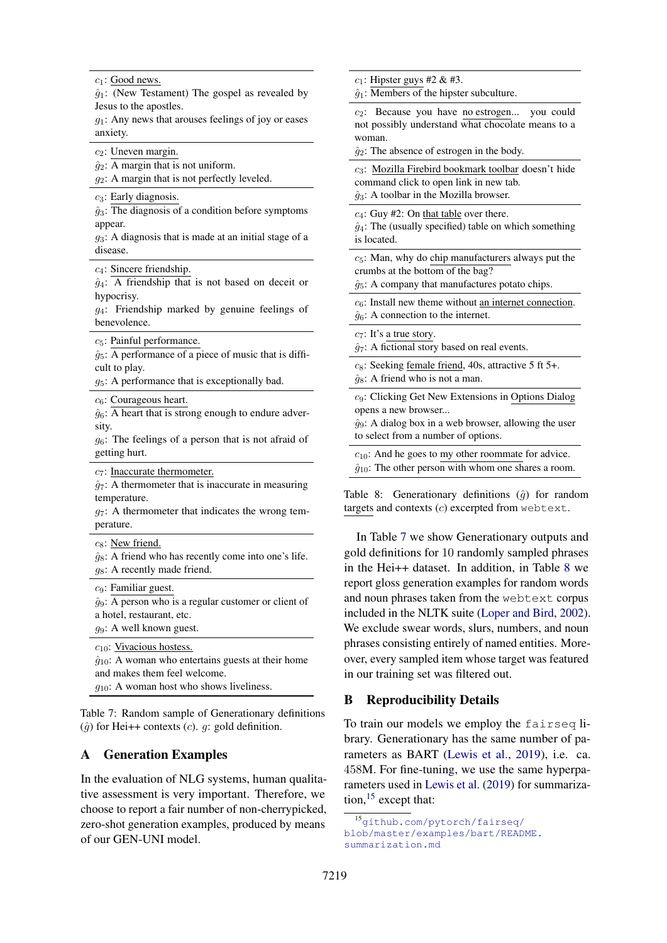<span id="page-12-0"></span> $c_1$ : Good news.

 $\hat{g}_1$ : (New Testament) The gospel as revealed by Jesus to the apostles.

 $g_1$ : Any news that arouses feelings of joy or eases anxiety.

 $c_2$ : Uneven margin.

 $\hat{g}_2$ : A margin that is not uniform.

 $g_2$ : A margin that is not perfectly leveled.

 $c_3$ : Early diagnosis.

 $\hat{g}_3$ : The diagnosis of a condition before symptoms appear.

 $g_3$ : A diagnosis that is made at an initial stage of a disease.

c4: Sincere friendship.

 $\hat{g}_4$ : A friendship that is not based on deceit or hypocrisy.

 $g_4$ : Friendship marked by genuine feelings of benevolence.

 $c_5$ : Painful performance.

 $\hat{q}_5$ : A performance of a piece of music that is difficult to play.

 $g_5$ : A performance that is exceptionally bad.

 $c_6$ : Courageous heart.

 $\hat{g}_6$ : A heart that is strong enough to endure adversity.

 $g_6$ : The feelings of a person that is not afraid of getting hurt.

c7: Inaccurate thermometer.

 $\hat{q}_7$ : A thermometer that is inaccurate in measuring temperature.

 $g_7$ : A thermometer that indicates the wrong temperature.

 $c_8$ : New friend.

 $\hat{g}_8$ : A friend who has recently come into one's life.  $g_8$ : A recently made friend.

 $c_9$ : Familiar guest.

 $\hat{g}_9$ : A person who is a regular customer or client of a hotel, restaurant, etc.

 $g_9$ : A well known guest.

 $c_{10}$ : Vivacious hostess.  $\hat{g}_{10}$ : A woman who entertains guests at their home and makes them feel welcome.  $q_{10}$ : A woman host who shows liveliness.

Table 7: Random sample of Generationary definitions  $(\hat{g})$  for Hei++ contexts (c). g: gold definition.

## A Generation Examples

In the evaluation of NLG systems, human qualitative assessment is very important. Therefore, we choose to report a fair number of non-cherrypicked, zero-shot generation examples, produced by means of our GEN-UNI model.

<span id="page-12-1"></span> $c_1$ : Hipster guys #2 & #3.

 $\hat{q}_1$ : Members of the hipster subculture.

 $c_2$ : Because you have no estrogen... you could not possibly understand what chocolate means to a woman.

 $\hat{g}_2$ : The absence of estrogen in the body.

c3: Mozilla Firebird bookmark toolbar doesn't hide command click to open link in new tab.  $\hat{q}_3$ : A toolbar in the Mozilla browser.

 $c_4$ : Guy #2: On that table over there.

 $\hat{g}_4$ : The (usually specified) table on which something is located.

 $c<sub>5</sub>$ : Man, why do chip manufacturers always put the crumbs at the bottom of the bag?

 $\hat{g}_5$ : A company that manufactures potato chips.

 $c_6$ : Install new theme without an internet connection.

 $\hat{g}_6$ : A connection to the internet.

 $c_7$ : It's a true story.

 $\hat{q}_7$ : A fictional story based on real events.

 $c_8$ : Seeking female friend, 40s, attractive 5 ft 5+.  $\hat{g}_8$ : A friend who is not a man.

c9: Clicking Get New Extensions in Options Dialog opens a new browser...

 $\hat{g}_9$ : A dialog box in a web browser, allowing the user to select from a number of options.

 $c_{10}$ : And he goes to my other roommate for advice.  $\hat{g}_{10}$ : The other person with whom one shares a room.

Table 8: Generationary definitions  $(\hat{q})$  for random targets and contexts (c) excerpted from webtext.

In Table [7](#page-12-0) we show Generationary outputs and gold definitions for 10 randomly sampled phrases in the Hei++ dataset. In addition, in Table [8](#page-12-1) we report gloss generation examples for random words and noun phrases taken from the webtext corpus included in the NLTK suite [\(Loper and Bird,](#page-9-21) [2002\)](#page-9-21). We exclude swear words, slurs, numbers, and noun phrases consisting entirely of named entities. Moreover, every sampled item whose target was featured in our training set was filtered out.

## B Reproducibility Details

To train our models we employ the fairseq library. Generationary has the same number of parameters as BART [\(Lewis et al.,](#page-9-10) [2019\)](#page-9-10), i.e. ca. 458M. For fine-tuning, we use the same hyperparameters used in [Lewis et al.](#page-9-10) [\(2019\)](#page-9-10) for summarization,  $15$  except that:

<span id="page-12-2"></span><sup>15</sup>[github.com/pytorch/fairseq/](http://github.com/pytorch/fairseq/blob/master/examples/bart/README.summarization.md) [blob/master/examples/bart/README.](http://github.com/pytorch/fairseq/blob/master/examples/bart/README.summarization.md) [summarization.md](http://github.com/pytorch/fairseq/blob/master/examples/bart/README.summarization.md)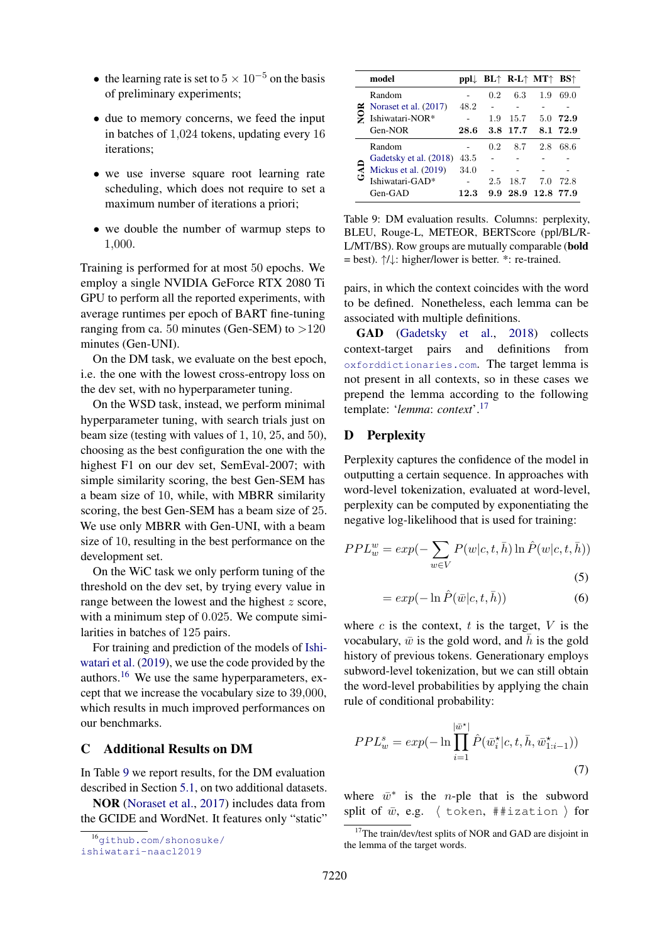- the learning rate is set to  $5 \times 10^{-5}$  on the basis of preliminary experiments;
- due to memory concerns, we feed the input in batches of 1,024 tokens, updating every 16 iterations;
- we use inverse square root learning rate scheduling, which does not require to set a maximum number of iterations a priori;
- we double the number of warmup steps to 1,000.

Training is performed for at most 50 epochs. We employ a single NVIDIA GeForce RTX 2080 Ti GPU to perform all the reported experiments, with average runtimes per epoch of BART fine-tuning ranging from ca. 50 minutes (Gen-SEM) to  $>120$ minutes (Gen-UNI).

On the DM task, we evaluate on the best epoch, i.e. the one with the lowest cross-entropy loss on the dev set, with no hyperparameter tuning.

On the WSD task, instead, we perform minimal hyperparameter tuning, with search trials just on beam size (testing with values of 1, 10, 25, and 50), choosing as the best configuration the one with the highest F1 on our dev set, SemEval-2007; with simple similarity scoring, the best Gen-SEM has a beam size of 10, while, with MBRR similarity scoring, the best Gen-SEM has a beam size of 25. We use only MBRR with Gen-UNI, with a beam size of 10, resulting in the best performance on the development set.

On the WiC task we only perform tuning of the threshold on the dev set, by trying every value in range between the lowest and the highest z score, with a minimum step of 0.025. We compute similarities in batches of 125 pairs.

For training and prediction of the models of [Ishi](#page-9-12)[watari et al.](#page-9-12) [\(2019\)](#page-9-12), we use the code provided by the authors.[16](#page-13-0) We use the same hyperparameters, except that we increase the vocabulary size to 39,000, which results in much improved performances on our benchmarks.

## C Additional Results on DM

In Table [9](#page-13-1) we report results, for the DM evaluation described in Section [5.1,](#page-4-1) on two additional datasets.

NOR [\(Noraset et al.,](#page-10-8) [2017\)](#page-10-8) includes data from the GCIDE and WordNet. It features only "static"

<span id="page-13-1"></span>

|  | model                  |      |     | $ppl \downarrow BL \uparrow RL \uparrow MT \uparrow BS \uparrow$ |      |          |
|--|------------------------|------|-----|------------------------------------------------------------------|------|----------|
|  | Random                 |      | 0.2 | 6.3                                                              | 1.9  | 69.0     |
|  | Noraset et al. (2017)  | 48.2 |     |                                                                  |      |          |
|  | Ishiwatari-NOR*        |      | 1.9 | 15.7                                                             | 5.0  | 72.9     |
|  | Gen-NOR                | 28.6 | 3.8 | 17.7                                                             |      | 8.1 72.9 |
|  | Random                 |      | 0.2 | 8.7                                                              | 2.8  | 68.6     |
|  | Gadetsky et al. (2018) | 43.5 |     |                                                                  |      |          |
|  | Mickus et al. (2019)   | 34.0 |     |                                                                  |      |          |
|  | Ishiwatari-GAD*        |      | 2.5 | 18.7                                                             | 7.0  | 72.8     |
|  | $Gen-GAD$              | 12.3 | 9.9 | 28.9                                                             | 12.8 | 77.9     |

Table 9: DM evaluation results. Columns: perplexity, BLEU, Rouge-L, METEOR, BERTScore (ppl/BL/R-L/MT/BS). Row groups are mutually comparable (bold = best). ↑/↓: higher/lower is better. \*: re-trained.

pairs, in which the context coincides with the word to be defined. Nonetheless, each lemma can be associated with multiple definitions.

GAD [\(Gadetsky et al.,](#page-9-9) [2018\)](#page-9-9) collects context-target pairs and definitions from <oxforddictionaries.com>. The target lemma is not present in all contexts, so in these cases we prepend the lemma according to the following template: '*lemma*: *context*'.[17](#page-13-2)

## D Perplexity

Perplexity captures the confidence of the model in outputting a certain sequence. In approaches with word-level tokenization, evaluated at word-level, perplexity can be computed by exponentiating the negative log-likelihood that is used for training:

$$
PPL_w^w = exp(-\sum_{w \in V} P(w|c, t, \bar{h}) \ln \hat{P}(w|c, t, \bar{h}))
$$
\n(5)

$$
= exp(-\ln \hat{P}(\bar{w}|c, t, \bar{h}))
$$
\n(6)

where  $c$  is the context,  $t$  is the target,  $V$  is the vocabulary,  $\bar{w}$  is the gold word, and h is the gold history of previous tokens. Generationary employs subword-level tokenization, but we can still obtain the word-level probabilities by applying the chain rule of conditional probability:

$$
PPL_w^s = exp(-\ln \prod_{i=1}^{|\bar{w}^{\star}|} \hat{P}(\bar{w}_i^{\star}|c, t, \bar{h}, \bar{w}_{1:i-1}^{\star}))
$$
\n
$$
(7)
$$

where  $\bar{w}^*$  is the *n*-ple that is the subword split of  $\bar{w}$ , e.g.  $\langle$  token, ##ization  $\rangle$  for

<span id="page-13-0"></span><sup>16</sup>[github.com/shonosuke/](http://github.com/shonosuke/ishiwatari-naacl2019)

[ishiwatari-naacl2019](http://github.com/shonosuke/ishiwatari-naacl2019)

<span id="page-13-2"></span><sup>&</sup>lt;sup>17</sup>The train/dev/test splits of NOR and GAD are disjoint in the lemma of the target words.